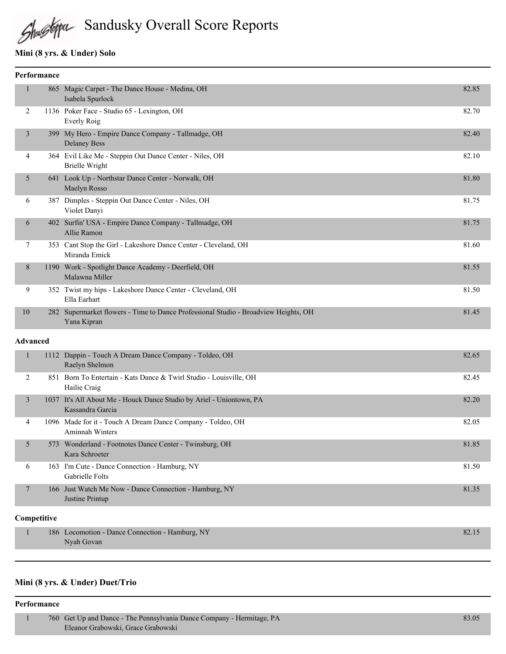Shallstepa Sandusky Overall Score Reports

# **Mini (8 yrs. & Under) Solo**

| <b>Performance</b> |      |                                                                                                    |       |
|--------------------|------|----------------------------------------------------------------------------------------------------|-------|
|                    |      | 865 Magic Carpet - The Dance House - Medina, OH<br>Isabela Spurlock                                | 82.85 |
| 2                  |      | 1136 Poker Face - Studio 65 - Lexington, OH<br>Everly Roig                                         | 82.70 |
| 3                  |      | 399 My Hero - Empire Dance Company - Tallmadge, OH<br><b>Delaney Bess</b>                          | 82.40 |
| 4                  |      | 364 Evil Like Me - Steppin Out Dance Center - Niles, OH<br>Brielle Wright                          | 82.10 |
| 5                  |      | 641 Look Up - Northstar Dance Center - Norwalk, OH<br>Maelyn Rosso                                 | 81.80 |
| 6                  |      | 387 Dimples - Steppin Out Dance Center - Niles, OH<br>Violet Danyi                                 | 81.75 |
| 6                  | 402  | Surfin' USA - Empire Dance Company - Tallmadge, OH<br>Allie Ramon                                  | 81.75 |
| $\tau$             | 353  | Cant Stop the Girl - Lakeshore Dance Center - Cleveland, OH<br>Miranda Emick                       | 81.60 |
| 8                  | 1190 | Work - Spotlight Dance Academy - Deerfield, OH<br>Malawna Miller                                   | 81.55 |
| 9                  |      | 352 Twist my hips - Lakeshore Dance Center - Cleveland, OH<br>Ella Earhart                         | 81.50 |
| 10                 |      | 282 Supermarket flowers - Time to Dance Professional Studio - Broadview Heights, OH<br>Yana Kipran | 81.45 |
|                    |      |                                                                                                    |       |

### **Advanced**

|   |     | 1112 Dappin - Touch A Dream Dance Company - Toldeo, OH<br>Raelyn Shelmon                 | 82.65 |
|---|-----|------------------------------------------------------------------------------------------|-------|
| 2 | 851 | Born To Entertain - Kats Dance & Twirl Studio - Louisville, OH<br>Hailie Craig           | 82.45 |
| 3 |     | 1037 It's All About Me - Houck Dance Studio by Ariel - Uniontown, PA<br>Kassandra Garcia | 82.20 |
| 4 |     | 1096 Made for it - Touch A Dream Dance Company - Toldeo, OH<br>Aminnah Winters           | 82.05 |
| 5 | 573 | Wonderland - Footnotes Dance Center - Twinsburg, OH<br>Kara Schroeter                    | 81.85 |
| 6 |     | 163 I'm Cute - Dance Connection - Hamburg, NY<br>Gabrielle Folts                         | 81.50 |
| 7 |     | 166 Just Watch Me Now - Dance Connection - Hamburg, NY<br>Justine Printup                | 81.35 |

### **Competitive**

| 186 Locomotion - Dance Connection - Hamburg, NY | 82.1 |
|-------------------------------------------------|------|
| Nyah Govan                                      |      |
|                                                 |      |

### **Mini (8 yrs. & Under) Duet/Trio**

#### **Performance**

|  | / 760 Get Up and Dance - The Pennsylvania Dance Company - Hermitage, PA | 83.05 |
|--|-------------------------------------------------------------------------|-------|
|  | Eleanor Grabowski, Grace Grabowski                                      |       |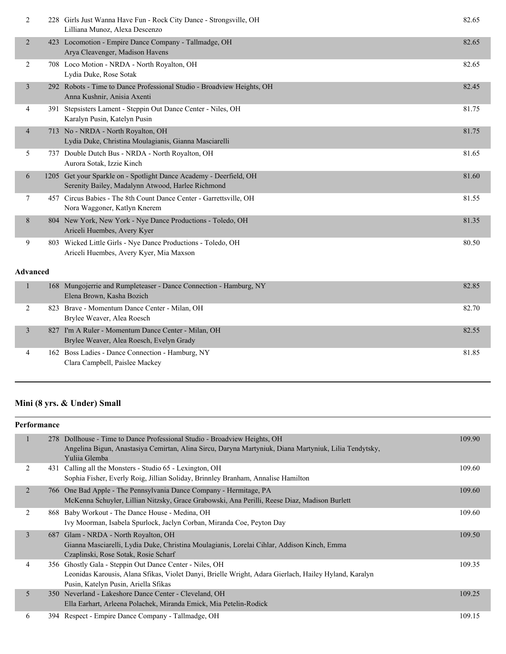| $\overline{2}$           |     | 228 Girls Just Wanna Have Fun - Rock City Dance - Strongsville, OH<br>Lilliana Munoz, Alexa Descenzo                    | 82.65 |
|--------------------------|-----|-------------------------------------------------------------------------------------------------------------------------|-------|
| $\overline{2}$           |     | 423 Locomotion - Empire Dance Company - Tallmadge, OH<br>Arya Cleavenger, Madison Havens                                | 82.65 |
| $\overline{2}$           |     | 708 Loco Motion - NRDA - North Royalton, OH<br>Lydia Duke, Rose Sotak                                                   | 82.65 |
| $\mathfrak{Z}$           |     | 292 Robots - Time to Dance Professional Studio - Broadview Heights, OH<br>Anna Kushnir, Anisia Axenti                   | 82.45 |
| 4                        | 391 | Stepsisters Lament - Steppin Out Dance Center - Niles, OH<br>Karalyn Pusin, Katelyn Pusin                               | 81.75 |
| $\overline{\mathcal{A}}$ |     | 713 No - NRDA - North Royalton, OH<br>Lydia Duke, Christina Moulagianis, Gianna Masciarelli                             | 81.75 |
| 5                        |     | 737 Double Dutch Bus - NRDA - North Royalton, OH<br>Aurora Sotak, Izzie Kinch                                           | 81.65 |
| 6                        |     | 1205 Get your Sparkle on - Spotlight Dance Academy - Deerfield, OH<br>Serenity Bailey, Madalynn Atwood, Harlee Richmond | 81.60 |
| 7                        |     | 457 Circus Babies - The 8th Count Dance Center - Garrettsville, OH<br>Nora Waggoner, Katlyn Knerem                      | 81.55 |
| 8                        |     | 804 New York, New York - Nye Dance Productions - Toledo, OH<br>Ariceli Huembes, Avery Kyer                              | 81.35 |
| 9                        |     | 803 Wicked Little Girls - Nye Dance Productions - Toledo, OH<br>Ariceli Huembes, Avery Kyer, Mia Maxson                 | 80.50 |
| Advanced                 |     |                                                                                                                         |       |
| $\mathbf{1}$             |     | 168 Mungojerrie and Rumpleteaser - Dance Connection - Hamburg, NY<br>Elena Brown, Kasha Bozich                          | 82.85 |
| 2                        |     | 823 Brave - Momentum Dance Center - Milan, OH<br>Brylee Weaver, Alea Roesch                                             | 82.70 |
| $\overline{3}$           |     | 827 I'm A Ruler - Momentum Dance Center - Milan, OH<br>Brylee Weaver, Alea Roesch, Evelyn Grady                         | 82.55 |
| 4                        |     | 162 Boss Ladies - Dance Connection - Hamburg, NY                                                                        | 81.85 |

# **Mini (8 yrs. & Under) Small**

Clara Campbell, Paislee Mackey

| <b>Performance</b> |     |                                                                                                                                                                                                          |        |  |
|--------------------|-----|----------------------------------------------------------------------------------------------------------------------------------------------------------------------------------------------------------|--------|--|
|                    |     | 278 Dollhouse - Time to Dance Professional Studio - Broadview Heights, OH<br>Angelina Bigun, Anastasiya Cemirtan, Alina Sircu, Daryna Martyniuk, Diana Martyniuk, Lilia Tendytsky,<br>Yuliia Glemba      | 109.90 |  |
| 2                  | 431 | Calling all the Monsters - Studio 65 - Lexington, OH<br>Sophia Fisher, Everly Roig, Jillian Soliday, Brinnley Branham, Annalise Hamilton                                                                 | 109.60 |  |
| 2                  |     | 766 One Bad Apple - The Pennsylvania Dance Company - Hermitage, PA<br>McKenna Schuyler, Lillian Nitzsky, Grace Grabowski, Ana Perilli, Reese Diaz, Madison Burlett                                       | 109.60 |  |
| 2                  |     | 868 Baby Workout - The Dance House - Medina, OH<br>Ivy Moorman, Isabela Spurlock, Jaclyn Corban, Miranda Coe, Peyton Day                                                                                 | 109.60 |  |
| $\overline{3}$     |     | 687 Glam - NRDA - North Royalton, OH<br>Gianna Masciarelli, Lydia Duke, Christina Moulagianis, Lorelai Cihlar, Addison Kinch, Emma<br>Czaplinski, Rose Sotak, Rosie Scharf                               | 109.50 |  |
| 4                  |     | 356 Ghostly Gala - Steppin Out Dance Center - Niles, OH<br>Leonidas Karousis, Alana Sfikas, Violet Danyi, Brielle Wright, Adara Gierlach, Hailey Hyland, Karalyn<br>Pusin, Katelyn Pusin, Ariella Sfikas | 109.35 |  |
| 5                  |     | 350 Neverland - Lakeshore Dance Center - Cleveland, OH<br>Ella Earhart, Arleena Polachek, Miranda Emick, Mia Petelin-Rodick                                                                              | 109.25 |  |
| 6                  |     | 394 Respect - Empire Dance Company - Tallmadge, OH                                                                                                                                                       | 109.15 |  |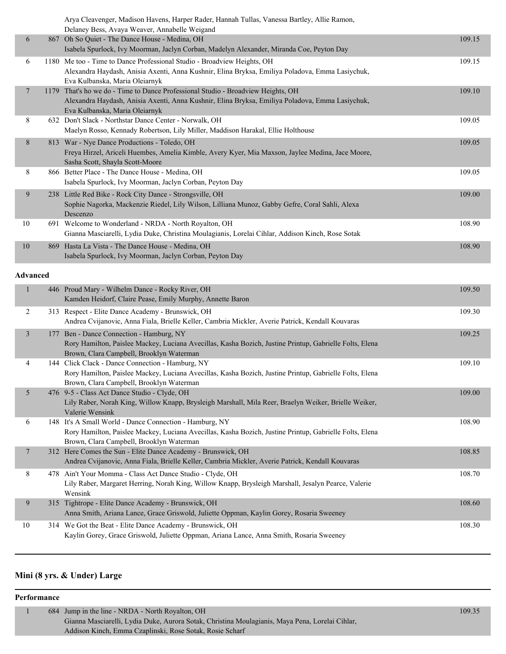|                 | Arya Cleavenger, Madison Havens, Harper Rader, Hannah Tullas, Vanessa Bartley, Allie Ramon,<br>Delaney Bess, Avaya Weaver, Annabelle Weigand                                                                          |        |
|-----------------|-----------------------------------------------------------------------------------------------------------------------------------------------------------------------------------------------------------------------|--------|
| 6               | 867 Oh So Quiet - The Dance House - Medina, OH<br>Isabela Spurlock, Ivy Moorman, Jaclyn Corban, Madelyn Alexander, Miranda Coe, Peyton Day                                                                            | 109.15 |
| 6               | 1180 Me too - Time to Dance Professional Studio - Broadview Heights, OH<br>Alexandra Haydash, Anisia Axenti, Anna Kushnir, Elina Bryksa, Emiliya Poladova, Emma Lasiychuk,<br>Eva Kulbanska, Maria Oleiarnyk          | 109.15 |
| 7               | 1179 That's ho we do - Time to Dance Professional Studio - Broadview Heights, OH<br>Alexandra Haydash, Anisia Axenti, Anna Kushnir, Elina Bryksa, Emiliya Poladova, Emma Lasiychuk,<br>Eva Kulbanska, Maria Oleiarnyk | 109.10 |
| 8               | 632 Don't Slack - Northstar Dance Center - Norwalk, OH<br>Maelyn Rosso, Kennady Robertson, Lily Miller, Maddison Harakal, Ellie Holthouse                                                                             | 109.05 |
| 8               | 813 War - Nye Dance Productions - Toledo, OH<br>Freya Hirzel, Ariceli Huembes, Amelia Kimble, Avery Kyer, Mia Maxson, Jaylee Medina, Jace Moore,<br>Sasha Scott, Shayla Scott-Moore                                   | 109.05 |
| 8               | 866 Better Place - The Dance House - Medina, OH<br>Isabela Spurlock, Ivy Moorman, Jaclyn Corban, Peyton Day                                                                                                           | 109.05 |
| 9               | 238 Little Red Bike - Rock City Dance - Strongsville, OH<br>Sophie Nagorka, Mackenzie Riedel, Lily Wilson, Lilliana Munoz, Gabby Gefre, Coral Sahli, Alexa<br>Descenzo                                                | 109.00 |
| 10              | 691 Welcome to Wonderland - NRDA - North Royalton, OH<br>Gianna Masciarelli, Lydia Duke, Christina Moulagianis, Lorelai Cihlar, Addison Kinch, Rose Sotak                                                             | 108.90 |
| $10\,$          | 869 Hasta La Vista - The Dance House - Medina, OH<br>Isabela Spurlock, Ivy Moorman, Jaclyn Corban, Peyton Day                                                                                                         | 108.90 |
| <b>Advanced</b> |                                                                                                                                                                                                                       |        |
| $\mathbf{1}$    | 446 Proud Mary - Wilhelm Dance - Rocky River, OH<br>Kamden Heidorf, Claire Pease, Emily Murphy, Annette Baron                                                                                                         | 109.50 |
| 2               | 313 Respect - Elite Dance Academy - Brunswick, OH<br>Andrea Cvijanovic, Anna Fiala, Brielle Keller, Cambria Mickler, Averie Patrick, Kendall Kouvaras                                                                 | 109.30 |
| $\mathfrak{Z}$  | 177 Ben - Dance Connection - Hamburg, NY<br>Rory Hamilton, Paislee Mackey, Luciana Avecillas, Kasha Bozich, Justine Printup, Gabrielle Folts, Elena<br>Brown, Clara Campbell, Brooklyn Waterman                       | 109.25 |
| 4               | 144 Click Clack - Dance Connection - Hamburg, NY<br>Rory Hamilton, Paislee Mackey, Luciana Avecillas, Kasha Bozich, Justine Printup, Gabrielle Folts, Elena<br>Brown, Clara Campbell, Brooklyn Waterman               | 109.10 |
| 5               | 476 9-5 - Class Act Dance Studio - Clyde, OH<br>Lily Raber, Norah King, Willow Knapp, Brysleigh Marshall, Mila Reer, Braelyn Weiker, Brielle Weiker,<br>Valerie Wensink                                               | 109.00 |
| 6               | 148 It's A Small World - Dance Connection - Hamburg, NY<br>Rory Hamilton, Paislee Mackey, Luciana Avecillas, Kasha Bozich, Justine Printup, Gabrielle Folts, Elena<br>Brown, Clara Campbell, Brooklyn Waterman        | 108.90 |
| $\overline{7}$  | 312 Here Comes the Sun - Elite Dance Academy - Brunswick, OH<br>Andrea Cvijanovic, Anna Fiala, Brielle Keller, Cambria Mickler, Averie Patrick, Kendall Kouvaras                                                      | 108.85 |
| 8               | 478 Ain't Your Momma - Class Act Dance Studio - Clyde, OH<br>Lily Raber, Margaret Herring, Norah King, Willow Knapp, Brysleigh Marshall, Jesalyn Pearce, Valerie<br>Wensink                                           | 108.70 |
| 9               | 315 Tightrope - Elite Dance Academy - Brunswick, OH<br>Anna Smith, Ariana Lance, Grace Griswold, Juliette Oppman, Kaylin Gorey, Rosaria Sweeney                                                                       | 108.60 |
| 10              | 314 We Got the Beat - Elite Dance Academy - Brunswick, OH<br>Kaylin Gorey, Grace Griswold, Juliette Oppman, Ariana Lance, Anna Smith, Rosaria Sweeney                                                                 | 108.30 |

# **Mini (8 yrs. & Under) Large**

#### **Performance**

| 684 Jump in the line - NRDA - North Royalton, OH                                                | 109.35 |
|-------------------------------------------------------------------------------------------------|--------|
| Gianna Masciarelli, Lydia Duke, Aurora Sotak, Christina Moulagianis, Maya Pena, Lorelai Cihlar, |        |
| Addison Kinch, Emma Czaplinski, Rose Sotak, Rosie Scharf                                        |        |
|                                                                                                 |        |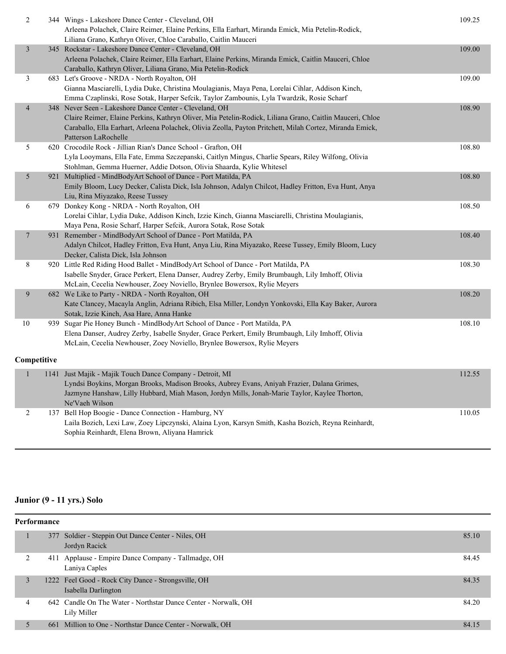| $\overline{c}$          | 344 Wings - Lakeshore Dance Center - Cleveland, OH                                                                                                            | 109.25 |
|-------------------------|---------------------------------------------------------------------------------------------------------------------------------------------------------------|--------|
|                         | Arleena Polachek, Claire Reimer, Elaine Perkins, Ella Earhart, Miranda Emick, Mia Petelin-Rodick,                                                             |        |
| $\overline{\mathbf{3}}$ | Liliana Grano, Kathryn Oliver, Chloe Caraballo, Caitlin Mauceri                                                                                               |        |
|                         | 345 Rockstar - Lakeshore Dance Center - Cleveland, OH<br>Arleena Polachek, Claire Reimer, Ella Earhart, Elaine Perkins, Miranda Emick, Caitlin Mauceri, Chloe | 109.00 |
|                         | Caraballo, Kathryn Oliver, Liliana Grano, Mia Petelin-Rodick                                                                                                  |        |
| $\mathfrak{Z}$          |                                                                                                                                                               | 109.00 |
|                         | 683 Let's Groove - NRDA - North Royalton, OH<br>Gianna Masciarelli, Lydia Duke, Christina Moulagianis, Maya Pena, Lorelai Cihlar, Addison Kinch,              |        |
|                         | Emma Czaplinski, Rose Sotak, Harper Sefcik, Taylor Zambounis, Lyla Twardzik, Rosie Scharf                                                                     |        |
| $\overline{4}$          | 348 Never Seen - Lakeshore Dance Center - Cleveland, OH                                                                                                       | 108.90 |
|                         | Claire Reimer, Elaine Perkins, Kathryn Oliver, Mia Petelin-Rodick, Liliana Grano, Caitlin Mauceri, Chloe                                                      |        |
|                         | Caraballo, Ella Earhart, Arleena Polachek, Olivia Zeolla, Payton Pritchett, Milah Cortez, Miranda Emick,                                                      |        |
|                         | Patterson LaRochelle                                                                                                                                          |        |
| $\mathfrak{H}$          | 620 Crocodile Rock - Jillian Rian's Dance School - Grafton, OH                                                                                                | 108.80 |
|                         | Lyla Looymans, Ella Fate, Emma Szczepanski, Caitlyn Mingus, Charlie Spears, Riley Wilfong, Olivia                                                             |        |
|                         | Stohlman, Gemma Huerner, Addie Dotson, Olivia Shaarda, Kylie Whitesel                                                                                         |        |
| 5                       | 921 Multiplied - MindBodyArt School of Dance - Port Matilda, PA                                                                                               | 108.80 |
|                         | Emily Bloom, Lucy Decker, Calista Dick, Isla Johnson, Adalyn Chilcot, Hadley Fritton, Eva Hunt, Anya                                                          |        |
|                         | Liu, Rina Miyazako, Reese Tussey                                                                                                                              |        |
| 6                       | 679 Donkey Kong - NRDA - North Royalton, OH                                                                                                                   | 108.50 |
|                         | Lorelai Cihlar, Lydia Duke, Addison Kinch, Izzie Kinch, Gianna Masciarelli, Christina Moulagianis,                                                            |        |
|                         | Maya Pena, Rosie Scharf, Harper Sefcik, Aurora Sotak, Rose Sotak                                                                                              |        |
| $\overline{7}$          | 931 Remember - MindBodyArt School of Dance - Port Matilda, PA                                                                                                 | 108.40 |
|                         | Adalyn Chilcot, Hadley Fritton, Eva Hunt, Anya Liu, Rina Miyazako, Reese Tussey, Emily Bloom, Lucy                                                            |        |
|                         | Decker, Calista Dick, Isla Johnson                                                                                                                            |        |
| 8                       | 920 Little Red Riding Hood Ballet - MindBodyArt School of Dance - Port Matilda, PA                                                                            | 108.30 |
|                         | Isabelle Snyder, Grace Perkert, Elena Danser, Audrey Zerby, Emily Brumbaugh, Lily Imhoff, Olivia                                                              |        |
|                         | McLain, Cecelia Newhouser, Zoey Noviello, Brynlee Bowersox, Rylie Meyers                                                                                      |        |
| 9                       | 682 We Like to Party - NRDA - North Royalton, OH                                                                                                              | 108.20 |
|                         | Kate Clancey, Macayla Anglin, Adriana Ribich, Elsa Miller, Londyn Yonkovski, Ella Kay Baker, Aurora                                                           |        |
|                         | Sotak, Izzie Kinch, Asa Hare, Anna Hanke                                                                                                                      |        |
| $10\,$                  | 939 Sugar Pie Honey Bunch - MindBodyArt School of Dance - Port Matilda, PA                                                                                    | 108.10 |
|                         | Elena Danser, Audrey Zerby, Isabelle Snyder, Grace Perkert, Emily Brumbaugh, Lily Imhoff, Olivia                                                              |        |
|                         | McLain, Cecelia Newhouser, Zoey Noviello, Brynlee Bowersox, Rylie Meyers                                                                                      |        |
| Competitive             |                                                                                                                                                               |        |
| $\mathbf{1}$            | 1141 Just Majik - Majik Touch Dance Company - Detroit, MI                                                                                                     | 112.55 |
|                         | Lyndsi Boykins, Morgan Brooks, Madison Brooks, Aubrey Evans, Aniyah Frazier, Dalana Grimes,                                                                   |        |
|                         | Jazmyne Hanshaw, Lilly Hubbard, Miah Mason, Jordyn Mills, Jonah-Marie Taylor, Kaylee Thorton,                                                                 |        |
|                         | Ne'Vaeh Wilson                                                                                                                                                |        |
| $\sqrt{2}$              | 137 Bell Hop Boogie - Dance Connection - Hamburg, NY                                                                                                          | 110.05 |
|                         | Laila Bozich, Lexi Law, Zoey Lipczynski, Alaina Lyon, Karsyn Smith, Kasha Bozich, Reyna Reinhardt,                                                            |        |
|                         | Sophia Reinhardt, Elena Brown, Aliyana Hamrick                                                                                                                |        |

# **Junior (9 - 11 yrs.) Solo**

|  | <b>Performance</b> |  |                                                                               |       |  |
|--|--------------------|--|-------------------------------------------------------------------------------|-------|--|
|  |                    |  | 377 Soldier - Steppin Out Dance Center - Niles, OH<br>Jordyn Racick           | 85.10 |  |
|  | ∍                  |  | 411 Applause - Empire Dance Company - Tallmadge, OH<br>Laniya Caples          | 84.45 |  |
|  | 3                  |  | 1222 Feel Good - Rock City Dance - Strongsville, OH<br>Isabella Darlington    | 84.35 |  |
|  | 4                  |  | 642 Candle On The Water - Northstar Dance Center - Norwalk, OH<br>Lily Miller | 84.20 |  |
|  | 5                  |  | 661 Million to One - Northstar Dance Center - Norwalk, OH                     | 84.15 |  |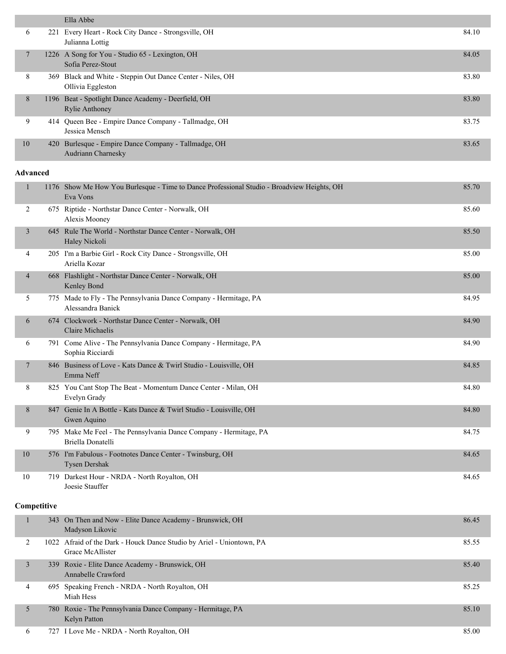|                 | Ella Abbe                                                                                              |       |
|-----------------|--------------------------------------------------------------------------------------------------------|-------|
| 6               | 221 Every Heart - Rock City Dance - Strongsville, OH<br>Julianna Lottig                                | 84.10 |
| 7               | 1226 A Song for You - Studio 65 - Lexington, OH<br>Sofia Perez-Stout                                   | 84.05 |
| 8               | 369 Black and White - Steppin Out Dance Center - Niles, OH<br>Ollivia Eggleston                        | 83.80 |
| 8               | 1196 Beat - Spotlight Dance Academy - Deerfield, OH<br><b>Rylie Anthoney</b>                           | 83.80 |
| 9               | 414 Queen Bee - Empire Dance Company - Tallmadge, OH<br>Jessica Mensch                                 | 83.75 |
| 10              | 420 Burlesque - Empire Dance Company - Tallmadge, OH<br>Audriann Charnesky                             | 83.65 |
| <b>Advanced</b> |                                                                                                        |       |
| $\mathbf{1}$    | 1176 Show Me How You Burlesque - Time to Dance Professional Studio - Broadview Heights, OH<br>Eva Vons | 85.70 |
| 2               | 675 Riptide - Northstar Dance Center - Norwalk, OH<br>Alexis Mooney                                    | 85.60 |
| $\overline{3}$  | 645 Rule The World - Northstar Dance Center - Norwalk, OH<br>Haley Nickoli                             | 85.50 |
| 4               | 205 I'm a Barbie Girl - Rock City Dance - Strongsville, OH<br>Ariella Kozar                            | 85.00 |
| $\overline{4}$  | 668 Flashlight - Northstar Dance Center - Norwalk, OH<br>Kenley Bond                                   | 85.00 |
| 5               | 775 Made to Fly - The Pennsylvania Dance Company - Hermitage, PA<br>Aloggondro Donialz                 | 84.95 |

|    | Alessandra Banick                                                                      |       |
|----|----------------------------------------------------------------------------------------|-------|
| 6  | 674 Clockwork - Northstar Dance Center - Norwalk, OH<br>Claire Michaelis               | 84.90 |
| 6  | 791 Come Alive - The Pennsylvania Dance Company - Hermitage, PA<br>Sophia Ricciardi    | 84.90 |
|    | 846 Business of Love - Kats Dance & Twirl Studio - Louisville, OH<br>Emma Neff         | 84.85 |
| 8  | 825 You Cant Stop The Beat - Momentum Dance Center - Milan, OH<br>Evelyn Grady         | 84.80 |
| 8  | 847 Genie In A Bottle - Kats Dance & Twirl Studio - Louisville, OH<br>Gwen Aquino      | 84.80 |
| 9  | 795 Make Me Feel - The Pennsylvania Dance Company - Hermitage, PA<br>Briella Donatelli | 84.75 |
| 10 | 576 I'm Fabulous - Footnotes Dance Center - Twinsburg, OH                              | 84.65 |

| 10 | 576 I'm Fabulous - Footnotes Dance Center - Twinsburg, OH<br><b>Tysen Dershak</b> | 84.65 |
|----|-----------------------------------------------------------------------------------|-------|
|    | 719 Darkest Hour - NRDA - North Royalton, OH<br>Joesie Stauffer                   | 84.65 |

# **Competitive**

|   | 343 On Then and Now - Elite Dance Academy - Brunswick, OH<br>Madyson Likovic              | 86.45 |
|---|-------------------------------------------------------------------------------------------|-------|
|   | 1022 Afraid of the Dark - Houck Dance Studio by Ariel - Uniontown, PA<br>Grace McAllister | 85.55 |
| 3 | 339 Roxie - Elite Dance Academy - Brunswick, OH<br>Annabelle Crawford                     | 85.40 |
| 4 | 695 Speaking French - NRDA - North Royalton, OH<br>Miah Hess                              | 85.25 |
|   | 780 Roxie - The Pennsylvania Dance Company - Hermitage, PA<br>Kelyn Patton                | 85.10 |
| 6 | 727 I Love Me - NRDA - North Royalton, OH                                                 | 85.00 |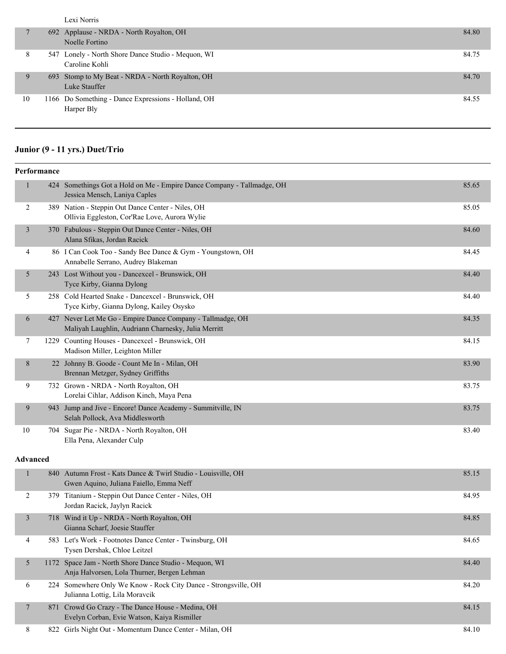Lexi Norris

|    | 692 Applause - NRDA - North Royalton, OH<br>Noelle Fortino           | 84.80 |
|----|----------------------------------------------------------------------|-------|
| 8  | 547 Lonely - North Shore Dance Studio - Mequon, WI<br>Caroline Kohli | 84.75 |
|    | 693 Stomp to My Beat - NRDA - North Royalton, OH<br>Luke Stauffer    | 84.70 |
| 10 | 1166 Do Something - Dance Expressions - Holland, OH<br>Harper Bly    | 84.55 |

# **Junior (9 - 11 yrs.) Duet/Trio**

| Performance     |  |                                                                                                                   |       |  |
|-----------------|--|-------------------------------------------------------------------------------------------------------------------|-------|--|
| $\mathbf{1}$    |  | 424 Somethings Got a Hold on Me - Empire Dance Company - Tallmadge, OH<br>Jessica Mensch, Laniya Caples           | 85.65 |  |
| 2               |  | 389 Nation - Steppin Out Dance Center - Niles, OH<br>Ollivia Eggleston, Cor'Rae Love, Aurora Wylie                | 85.05 |  |
| $\overline{3}$  |  | 370 Fabulous - Steppin Out Dance Center - Niles, OH<br>Alana Sfikas, Jordan Racick                                | 84.60 |  |
| 4               |  | 86 I Can Cook Too - Sandy Bee Dance & Gym - Youngstown, OH<br>Annabelle Serrano, Audrey Blakeman                  | 84.45 |  |
| 5               |  | 243 Lost Without you - Dancexcel - Brunswick, OH<br>Tyce Kirby, Gianna Dylong                                     | 84.40 |  |
| 5               |  | 258 Cold Hearted Snake - Dancexcel - Brunswick, OH<br>Tyce Kirby, Gianna Dylong, Kailey Osysko                    | 84.40 |  |
| 6               |  | 427 Never Let Me Go - Empire Dance Company - Tallmadge, OH<br>Maliyah Laughlin, Audriann Charnesky, Julia Merritt | 84.35 |  |
| 7               |  | 1229 Counting Houses - Dancexcel - Brunswick, OH<br>Madison Miller, Leighton Miller                               | 84.15 |  |
| 8               |  | 22 Johnny B. Goode - Count Me In - Milan, OH<br>Brennan Metzger, Sydney Griffiths                                 | 83.90 |  |
| 9               |  | 732 Grown - NRDA - North Royalton, OH<br>Lorelai Cihlar, Addison Kinch, Maya Pena                                 | 83.75 |  |
| 9               |  | 943 Jump and Jive - Encore! Dance Academy - Summitville, IN<br>Selah Pollock, Ava Middlesworth                    | 83.75 |  |
| 10              |  | 704 Sugar Pie - NRDA - North Royalton, OH<br>Ella Pena, Alexander Culp                                            | 83.40 |  |
| <b>Advanced</b> |  |                                                                                                                   |       |  |
| 1               |  | 840 Autumn Frost - Kats Dance & Twirl Studio - Louisville, OH<br>Gwen Aquino, Juliana Faiello, Emma Neff          | 85.15 |  |
| 2               |  | 379 Titanium - Steppin Out Dance Center - Niles, OH<br>Jordan Racick, Jaylyn Racick                               | 84.95 |  |
| $\overline{3}$  |  | 718 Wind it Up - NRDA - North Royalton, OH<br>Gianna Scharf, Joesie Stauffer                                      | 84.85 |  |
| 4               |  | 583 Let's Work - Footnotes Dance Center - Twinsburg, OH                                                           | 84.65 |  |

Tysen Dershak, Chloe Leitzel 5 1172 Space Jam - North Shore Dance Studio - Mequon, WI 84.40 Anja Halvorsen, Lola Thurner, Bergen Lehman 6 224 Somewhere Only We Know - Rock City Dance - Strongsville, OH 84.20 Julianna Lottig, Lila Moravcik 7 871 Crowd Go Crazy - The Dance House - Medina, OH 84.15 Evelyn Corban, Evie Watson, Kaiya Rismiller

8 822 Girls Night Out - Momentum Dance Center - Milan, OH 84.10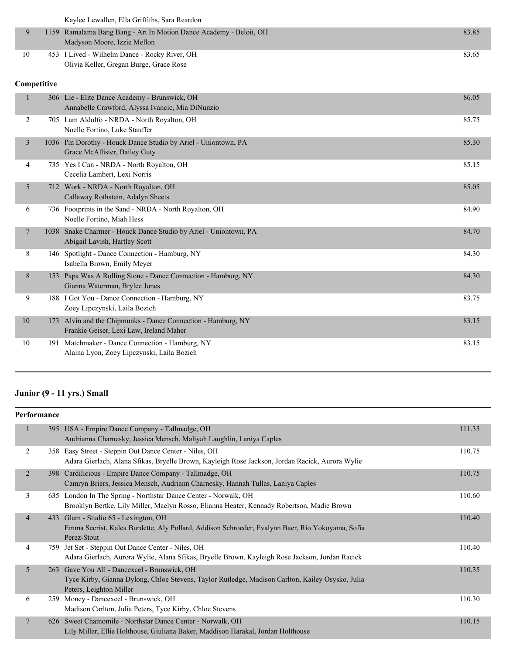Kaylee Lewallen, Ella Griffiths, Sara Reardon

|    | 1159 Ramalama Bang Bang - Art In Motion Dance Academy - Beloit, OH<br>Madyson Moore, Izzie Mellon | 83.85 |
|----|---------------------------------------------------------------------------------------------------|-------|
| 10 | 453 I Lived - Wilhelm Dance - Rocky River, OH<br>Olivia Keller, Gregan Burge, Grace Rose          | 83.65 |

### **Competitive**

|                |      | 306 Lie - Elite Dance Academy - Brunswick, OH<br>Annabelle Crawford, Alyssa Ivancic, Mia DiNunzio   | 86.05 |
|----------------|------|-----------------------------------------------------------------------------------------------------|-------|
| 2              |      | 705 I am Aldolfo - NRDA - North Royalton, OH<br>Noelle Fortino, Luke Stauffer                       | 85.75 |
| 3              |      | 1036 I'm Dorothy - Houck Dance Studio by Ariel - Uniontown, PA<br>Grace McAllister, Bailey Guty     | 85.30 |
| 4              |      | 735 Yes I Can - NRDA - North Royalton, OH<br>Cecelia Lambert, Lexi Norris                           | 85.15 |
| 5              |      | 712 Work - NRDA - North Royalton, OH<br>Callaway Rothstein, Adalyn Sheets                           | 85.05 |
| 6              |      | 736 Footprints in the Sand - NRDA - North Royalton, OH<br>Noelle Fortino, Miah Hess                 | 84.90 |
| $\overline{7}$ | 1038 | Snake Charmer - Houck Dance Studio by Ariel - Uniontown, PA<br>Abigail Lavish, Hartley Scott        | 84.70 |
| 8              |      | 146 Spotlight - Dance Connection - Hamburg, NY<br>Isabella Brown, Emily Meyer                       | 84.30 |
| 8              | 153  | Papa Was A Rolling Stone - Dance Connection - Hamburg, NY<br>Gianna Waterman, Brylee Jones          | 84.30 |
| 9              |      | 188 I Got You - Dance Connection - Hamburg, NY<br>Zoey Lipczynski, Laila Bozich                     | 83.75 |
| 10             | 173  | Alvin and the Chipmunks - Dance Connection - Hamburg, NY<br>Frankie Geiser, Lexi Law, Ireland Maher | 83.15 |
| 10             |      | 191 Matchmaker - Dance Connection - Hamburg, NY<br>Alaina Lyon, Zoey Lipczynski, Laila Bozich       | 83.15 |
|                |      |                                                                                                     |       |

# **Junior (9 - 11 yrs.) Small**

| Performance |                |     |                                                                                                                                                                         |        |  |
|-------------|----------------|-----|-------------------------------------------------------------------------------------------------------------------------------------------------------------------------|--------|--|
|             | 1              |     | 395 USA - Empire Dance Company - Tallmadge, OH<br>Audrianna Charnesky, Jessica Mensch, Maliyah Laughlin, Laniya Caples                                                  | 111.35 |  |
|             | 2              |     | 358 Easy Street - Steppin Out Dance Center - Niles, OH<br>Adara Gierlach, Alana Sfikas, Bryelle Brown, Kayleigh Rose Jackson, Jordan Racick, Aurora Wylie               | 110.75 |  |
|             | 2              |     | 398 Cardilicious - Empire Dance Company - Tallmadge, OH<br>Camryn Briers, Jessica Mensch, Audriann Charnesky, Hannah Tullas, Laniya Caples                              | 110.75 |  |
|             | 3              |     | 635 London In The Spring - Northstar Dance Center - Norwalk, OH<br>Brooklyn Bertke, Lily Miller, Maelyn Rosso, Elianna Heater, Kennady Robertson, Madie Brown           | 110.60 |  |
|             | $\overline{4}$ |     | 433 Glam - Studio 65 - Lexington, OH<br>Emma Secrist, Kalea Burdette, Aly Pollard, Addison Schroeder, Evalynn Baer, Rio Yokoyama, Sofia<br>Perez-Stout                  | 110.40 |  |
|             | 4              | 759 | Jet Set - Steppin Out Dance Center - Niles, OH<br>Adara Gierlach, Aurora Wylie, Alana Sfikas, Bryelle Brown, Kayleigh Rose Jackson, Jordan Racick                       | 110.40 |  |
|             | 5              | 263 | Gave You All - Dancexcel - Brunswick, OH<br>Tyce Kirby, Gianna Dylong, Chloe Stevens, Taylor Rutledge, Madison Carlton, Kailey Osysko, Julia<br>Peters, Leighton Miller | 110.35 |  |
|             | 6              | 259 | Money - Dancexcel - Brunswick, OH<br>Madison Carlton, Julia Peters, Tyce Kirby, Chloe Stevens                                                                           | 110.30 |  |
|             | $\tau$         |     | 626 Sweet Chamomile - Northstar Dance Center - Norwalk, OH<br>Lily Miller, Ellie Holthouse, Giuliana Baker, Maddison Harakal, Jordan Holthouse                          | 110.15 |  |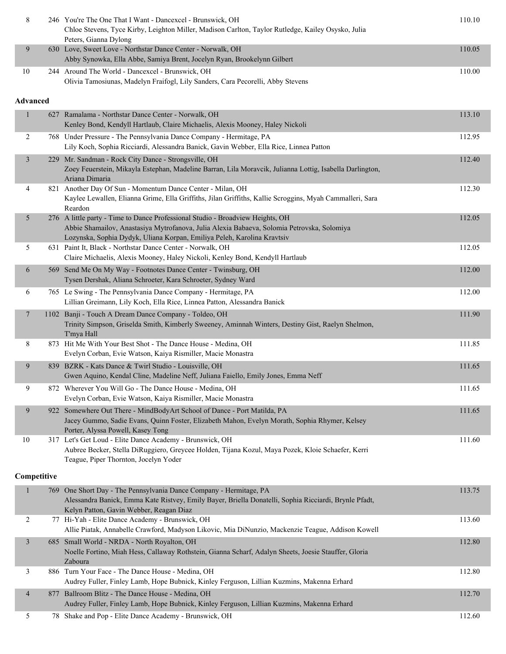| 8               |     | 246 You're The One That I Want - Dancexcel - Brunswick, OH<br>Chloe Stevens, Tyce Kirby, Leighton Miller, Madison Carlton, Taylor Rutledge, Kailey Osysko, Julia<br>Peters, Gianna Dylong                                                               | 110.10 |
|-----------------|-----|---------------------------------------------------------------------------------------------------------------------------------------------------------------------------------------------------------------------------------------------------------|--------|
| 9               |     | 630 Love, Sweet Love - Northstar Dance Center - Norwalk, OH<br>Abby Synowka, Ella Abbe, Samiya Brent, Jocelyn Ryan, Brookelynn Gilbert                                                                                                                  | 110.05 |
| $10\,$          |     | 244 Around The World - Dancexcel - Brunswick, OH<br>Olivia Tamosiunas, Madelyn Fraifogl, Lily Sanders, Cara Pecorelli, Abby Stevens                                                                                                                     | 110.00 |
| <b>Advanced</b> |     |                                                                                                                                                                                                                                                         |        |
| $\mathbf{1}$    | 627 | Ramalama - Northstar Dance Center - Norwalk, OH<br>Kenley Bond, Kendyll Hartlaub, Claire Michaelis, Alexis Mooney, Haley Nickoli                                                                                                                        | 113.10 |
| 2               |     | 768 Under Pressure - The Pennsylvania Dance Company - Hermitage, PA<br>Lily Koch, Sophia Ricciardi, Alessandra Banick, Gavin Webber, Ella Rice, Linnea Patton                                                                                           | 112.95 |
| 3               |     | 229 Mr. Sandman - Rock City Dance - Strongsville, OH<br>Zoey Feuerstein, Mikayla Estephan, Madeline Barran, Lila Moravcik, Julianna Lottig, Isabella Darlington,<br>Ariana Dimaria                                                                      | 112.40 |
| 4               |     | 821 Another Day Of Sun - Momentum Dance Center - Milan, OH<br>Kaylee Lewallen, Elianna Grime, Ella Griffiths, Jilan Griffiths, Kallie Scroggins, Myah Cammalleri, Sara<br>Reardon                                                                       | 112.30 |
| 5               |     | 276 A little party - Time to Dance Professional Studio - Broadview Heights, OH<br>Abbie Shamailov, Anastasiya Mytrofanova, Julia Alexia Babaeva, Solomia Petrovska, Solomiya<br>Lozynska, Sophia Dydyk, Uliana Korpan, Emiliya Peleh, Karolina Kravtsiv | 112.05 |
| 5               |     | 631 Paint It, Black - Northstar Dance Center - Norwalk, OH<br>Claire Michaelis, Alexis Mooney, Haley Nickoli, Kenley Bond, Kendyll Hartlaub                                                                                                             | 112.05 |
| 6               |     | 569 Send Me On My Way - Footnotes Dance Center - Twinsburg, OH<br>Tysen Dershak, Aliana Schroeter, Kara Schroeter, Sydney Ward                                                                                                                          | 112.00 |
| 6               |     | 765 Le Swing - The Pennsylvania Dance Company - Hermitage, PA<br>Lillian Greimann, Lily Koch, Ella Rice, Linnea Patton, Alessandra Banick                                                                                                               | 112.00 |
| 7               |     | 1102 Banji - Touch A Dream Dance Company - Toldeo, OH<br>Trinity Simpson, Griselda Smith, Kimberly Sweeney, Aminnah Winters, Destiny Gist, Raelyn Shelmon,<br>T'mya Hall                                                                                | 111.90 |
| 8               |     | 873 Hit Me With Your Best Shot - The Dance House - Medina, OH<br>Evelyn Corban, Evie Watson, Kaiya Rismiller, Macie Monastra                                                                                                                            | 111.85 |
| 9               |     | 839 BZRK - Kats Dance & Twirl Studio - Louisville, OH<br>Gwen Aquino, Kendal Cline, Madeline Neff, Juliana Faiello, Emily Jones, Emma Neff                                                                                                              | 111.65 |
| 9               |     | 872 Wherever You Will Go - The Dance House - Medina, OH<br>Evelyn Corban, Evie Watson, Kaiya Rismiller, Macie Monastra                                                                                                                                  | 111.65 |
| 9               |     | 922 Somewhere Out There - MindBodyArt School of Dance - Port Matilda, PA<br>Jacey Gummo, Sadie Evans, Quinn Foster, Elizabeth Mahon, Evelyn Morath, Sophia Rhymer, Kelsey<br>Porter, Alyssa Powell, Kasey Tong                                          | 111.65 |
| 10              |     | 317 Let's Get Loud - Elite Dance Academy - Brunswick, OH<br>Aubree Becker, Stella DiRuggiero, Greycee Holden, Tijana Kozul, Maya Pozek, Kloie Schaefer, Kerri<br>Teague, Piper Thornton, Jocelyn Yoder                                                  | 111.60 |
| Competitive     |     |                                                                                                                                                                                                                                                         |        |
| 1               |     | 769 One Short Day - The Pennsylvania Dance Company - Hermitage, PA<br>Alessandra Banick, Emma Kate Ristvey, Emily Bayer, Briella Donatelli, Sophia Ricciardi, Brynle Pfadt,<br>Kelyn Patton, Gavin Webber, Reagan Diaz                                  | 113.75 |
| 2               |     | 77 Hi-Yah - Elite Dance Academy - Brunswick, OH<br>Allie Piatak, Annabelle Crawford, Madyson Likovic, Mia DiNunzio, Mackenzie Teague, Addison Kowell                                                                                                    | 113.60 |
| 3               |     | 685 Small World - NRDA - North Royalton, OH<br>Noelle Fortino, Miah Hess, Callaway Rothstein, Gianna Scharf, Adalyn Sheets, Joesie Stauffer, Gloria<br>Zaboura                                                                                          | 112.80 |
| 3               |     | 886 Turn Your Face - The Dance House - Medina, OH<br>Audrey Fuller, Finley Lamb, Hope Bubnick, Kinley Ferguson, Lillian Kuzmins, Makenna Erhard                                                                                                         | 112.80 |
| 4               |     | 877 Ballroom Blitz - The Dance House - Medina, OH<br>Audrey Fuller, Finley Lamb, Hope Bubnick, Kinley Ferguson, Lillian Kuzmins, Makenna Erhard                                                                                                         | 112.70 |
| 5               |     | 78 Shake and Pop - Elite Dance Academy - Brunswick, OH                                                                                                                                                                                                  | 112.60 |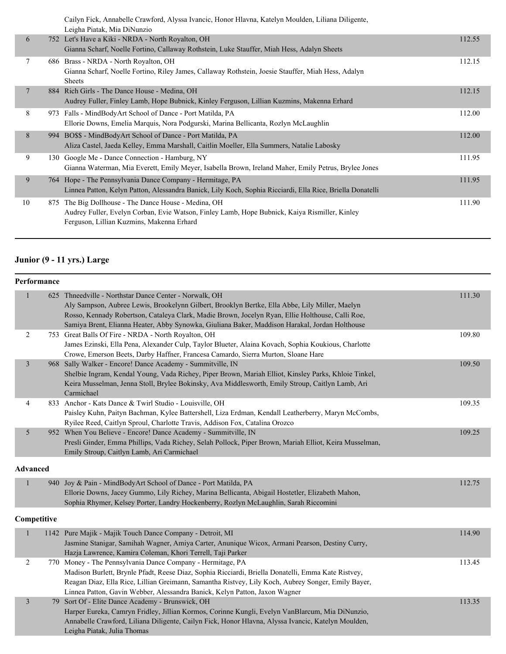|    |     | Cailyn Fick, Annabelle Crawford, Alyssa Ivancic, Honor Hlavna, Katelyn Moulden, Liliana Diligente,<br>Leigha Piatak, Mia DiNunzio                                                                  |        |
|----|-----|----------------------------------------------------------------------------------------------------------------------------------------------------------------------------------------------------|--------|
| 6  |     | 752 Let's Have a Kiki - NRDA - North Royalton, OH<br>Gianna Scharf, Noelle Fortino, Callaway Rothstein, Luke Stauffer, Miah Hess, Adalyn Sheets                                                    | 112.55 |
| 7  |     | 686 Brass - NRDA - North Royalton, OH<br>Gianna Scharf, Noelle Fortino, Riley James, Callaway Rothstein, Joesie Stauffer, Miah Hess, Adalyn<br><b>Sheets</b>                                       | 112.15 |
| 7  |     | 884 Rich Girls - The Dance House - Medina, OH<br>Audrey Fuller, Finley Lamb, Hope Bubnick, Kinley Ferguson, Lillian Kuzmins, Makenna Erhard                                                        | 112.15 |
| 8  |     | 973 Falls - MindBodyArt School of Dance - Port Matilda, PA<br>Ellorie Downs, Emelia Marquis, Nora Podgurski, Marina Bellicanta, Rozlyn McLaughlin                                                  | 112.00 |
| 8  | 994 | BO\$\$ - MindBodyArt School of Dance - Port Matilda, PA<br>Aliza Castel, Jaeda Kelley, Emma Marshall, Caitlin Moeller, Ella Summers, Natalie Labosky                                               | 112.00 |
| 9  | 130 | Google Me - Dance Connection - Hamburg, NY<br>Gianna Waterman, Mia Everett, Emily Meyer, Isabella Brown, Ireland Maher, Emily Petrus, Brylee Jones                                                 | 111.95 |
| 9  |     | 764 Hope - The Pennsylvania Dance Company - Hermitage, PA<br>Linnea Patton, Kelyn Patton, Alessandra Banick, Lily Koch, Sophia Ricciardi, Ella Rice, Briella Donatelli                             | 111.95 |
| 10 |     | 875 The Big Dollhouse - The Dance House - Medina, OH<br>Audrey Fuller, Evelyn Corban, Evie Watson, Finley Lamb, Hope Bubnick, Kaiya Rismiller, Kinley<br>Ferguson, Lillian Kuzmins, Makenna Erhard | 111.90 |
|    |     |                                                                                                                                                                                                    |        |

# **Junior (9 - 11 yrs.) Large**

|                 | Performance |                                                                                                                                                                                                                                                                                                                                                                |        |
|-----------------|-------------|----------------------------------------------------------------------------------------------------------------------------------------------------------------------------------------------------------------------------------------------------------------------------------------------------------------------------------------------------------------|--------|
| 1               |             | 625 Thneedville - Northstar Dance Center - Norwalk, OH<br>Aly Sampson, Aubree Lewis, Brookelynn Gilbert, Brooklyn Bertke, Ella Abbe, Lily Miller, Maelyn<br>Rosso, Kennady Robertson, Cataleya Clark, Madie Brown, Jocelyn Ryan, Ellie Holthouse, Calli Roe,<br>Samiya Brent, Elianna Heater, Abby Synowka, Giuliana Baker, Maddison Harakal, Jordan Holthouse | 111.30 |
| $\overline{c}$  |             | 753 Great Balls Of Fire - NRDA - North Royalton, OH<br>James Ezinski, Ella Pena, Alexander Culp, Taylor Blueter, Alaina Kovach, Sophia Koukious, Charlotte<br>Crowe, Emerson Beets, Darby Haffner, Francesa Camardo, Sierra Murton, Sloane Hare                                                                                                                | 109.80 |
| $\mathfrak{Z}$  |             | 968 Sally Walker - Encore! Dance Academy - Summitville, IN<br>Shelbie Ingram, Kendal Young, Vada Richey, Piper Brown, Mariah Elliot, Kinsley Parks, Khloie Tinkel,<br>Keira Musselman, Jenna Stoll, Brylee Bokinsky, Ava Middlesworth, Emily Stroup, Caitlyn Lamb, Ari<br>Carmichael                                                                           | 109.50 |
| 4               |             | 833 Anchor - Kats Dance & Twirl Studio - Louisville, OH<br>Paisley Kuhn, Paityn Bachman, Kylee Battershell, Liza Erdman, Kendall Leatherberry, Maryn McCombs,<br>Ryilee Reed, Caitlyn Sproul, Charlotte Travis, Addison Fox, Catalina Orozco                                                                                                                   | 109.35 |
| 5               |             | 952 When You Believe - Encore! Dance Academy - Summitville, IN<br>Presli Ginder, Emma Phillips, Vada Richey, Selah Pollock, Piper Brown, Mariah Elliot, Keira Musselman,<br>Emily Stroup, Caitlyn Lamb, Ari Carmichael                                                                                                                                         | 109.25 |
| <b>Advanced</b> |             |                                                                                                                                                                                                                                                                                                                                                                |        |
| $\mathbf{1}$    |             | 940 Joy & Pain - MindBodyArt School of Dance - Port Matilda, PA<br>Ellorie Downs, Jacey Gummo, Lily Richey, Marina Bellicanta, Abigail Hostetler, Elizabeth Mahon,<br>Sophia Rhymer, Kelsey Porter, Landry Hockenberry, Rozlyn McLaughlin, Sarah Riccomini                                                                                                     | 112.75 |
|                 | Competitive |                                                                                                                                                                                                                                                                                                                                                                |        |
| $\mathbf{1}$    |             | 1142 Pure Majik - Majik Touch Dance Company - Detroit, MI<br>Jasmine Stanigar, Samihah Wagner, Amiya Carter, Anunique Wicox, Armani Pearson, Destiny Curry,<br>Hazja Lawrence, Kamira Coleman, Khori Terrell, Taji Parker                                                                                                                                      | 114.90 |
| $\sqrt{2}$      |             | 770 Money - The Pennsylvania Dance Company - Hermitage, PA<br>Madison Burlett, Brynle Pfadt, Reese Diaz, Sophia Ricciardi, Briella Donatelli, Emma Kate Ristvey,<br>Reagan Diaz, Ella Rice, Lillian Greimann, Samantha Ristvey, Lily Koch, Aubrey Songer, Emily Bayer,<br>Linnea Patton, Gavin Webber, Alessandra Banick, Kelyn Patton, Jaxon Wagner           | 113.45 |
| $\mathfrak{Z}$  |             | 79 Sort Of - Elite Dance Academy - Brunswick, OH<br>Harper Eureka, Camryn Fridley, Jillian Kormos, Corinne Kungli, Evelyn VanBlarcum, Mia DiNunzio,<br>Annabelle Crawford, Liliana Diligente, Cailyn Fick, Honor Hlavna, Alyssa Ivancic, Katelyn Moulden,<br>Leigha Piatak, Julia Thomas                                                                       | 113.35 |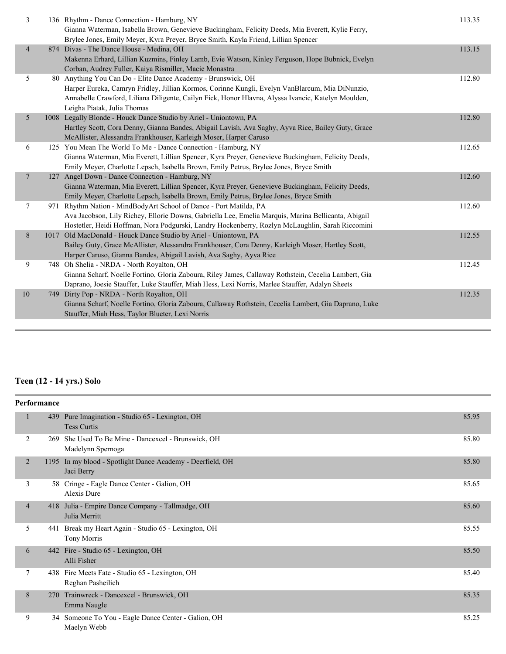| 3              | 136 Rhythm - Dance Connection - Hamburg, NY<br>Gianna Waterman, Isabella Brown, Genevieve Buckingham, Felicity Deeds, Mia Everett, Kylie Ferry,<br>Brylee Jones, Emily Meyer, Kyra Preyer, Bryce Smith, Kayla Friend, Lillian Spencer                                                                | 113.35 |
|----------------|------------------------------------------------------------------------------------------------------------------------------------------------------------------------------------------------------------------------------------------------------------------------------------------------------|--------|
| $\overline{4}$ | 874 Divas - The Dance House - Medina, OH<br>Makenna Erhard, Lillian Kuzmins, Finley Lamb, Evie Watson, Kinley Ferguson, Hope Bubnick, Evelyn<br>Corban, Audrey Fuller, Kaiya Rismiller, Macie Monastra                                                                                               | 113.15 |
| 5              | 80 Anything You Can Do - Elite Dance Academy - Brunswick, OH<br>Harper Eureka, Camryn Fridley, Jillian Kormos, Corinne Kungli, Evelyn VanBlarcum, Mia DiNunzio,<br>Annabelle Crawford, Liliana Diligente, Cailyn Fick, Honor Hlavna, Alyssa Ivancic, Katelyn Moulden,<br>Leigha Piatak, Julia Thomas | 112.80 |
| 5              | 1008 Legally Blonde - Houck Dance Studio by Ariel - Uniontown, PA<br>Hartley Scott, Cora Denny, Gianna Bandes, Abigail Lavish, Ava Saghy, Ayva Rice, Bailey Guty, Grace<br>McAllister, Alessandra Frankhouser, Karleigh Moser, Harper Caruso                                                         | 112.80 |
| 6              | 125 You Mean The World To Me - Dance Connection - Hamburg, NY<br>Gianna Waterman, Mia Everett, Lillian Spencer, Kyra Preyer, Genevieve Buckingham, Felicity Deeds,<br>Emily Meyer, Charlotte Lepsch, Isabella Brown, Emily Petrus, Brylee Jones, Bryce Smith                                         | 112.65 |
| 7              | 127 Angel Down - Dance Connection - Hamburg, NY<br>Gianna Waterman, Mia Everett, Lillian Spencer, Kyra Preyer, Genevieve Buckingham, Felicity Deeds,<br>Emily Meyer, Charlotte Lepsch, Isabella Brown, Emily Petrus, Brylee Jones, Bryce Smith                                                       | 112.60 |
| 7              | 971 Rhythm Nation - MindBodyArt School of Dance - Port Matilda, PA<br>Ava Jacobson, Lily Richey, Ellorie Downs, Gabriella Lee, Emelia Marquis, Marina Bellicanta, Abigail<br>Hostetler, Heidi Hoffman, Nora Podgurski, Landry Hockenberry, Rozlyn McLaughlin, Sarah Riccomini                        | 112.60 |
| $8\,$          | 1017 Old MacDonald - Houck Dance Studio by Ariel - Uniontown, PA<br>Bailey Guty, Grace McAllister, Alessandra Frankhouser, Cora Denny, Karleigh Moser, Hartley Scott,<br>Harper Caruso, Gianna Bandes, Abigail Lavish, Ava Saghy, Ayva Rice                                                          | 112.55 |
| 9              | 748 Oh Shelia - NRDA - North Royalton, OH<br>Gianna Scharf, Noelle Fortino, Gloria Zaboura, Riley James, Callaway Rothstein, Cecelia Lambert, Gia<br>Daprano, Joesie Stauffer, Luke Stauffer, Miah Hess, Lexi Norris, Marlee Stauffer, Adalyn Sheets                                                 | 112.45 |
| 10             | 749 Dirty Pop - NRDA - North Royalton, OH<br>Gianna Scharf, Noelle Fortino, Gloria Zaboura, Callaway Rothstein, Cecelia Lambert, Gia Daprano, Luke<br>Stauffer, Miah Hess, Taylor Blueter, Lexi Norris                                                                                               | 112.35 |

# **Teen (12 - 14 yrs.) Solo**

| Performance              |     |                                                                          |       |
|--------------------------|-----|--------------------------------------------------------------------------|-------|
|                          | 439 | Pure Imagination - Studio 65 - Lexington, OH<br><b>Tess Curtis</b>       | 85.95 |
| 2                        | 269 | She Used To Be Mine - Dancexcel - Brunswick, OH<br>Madelynn Spernoga     | 85.80 |
| $\overline{2}$           |     | 1195 In my blood - Spotlight Dance Academy - Deerfield, OH<br>Jaci Berry | 85.80 |
| 3                        |     | 58 Cringe - Eagle Dance Center - Galion, OH<br>Alexis Dure               | 85.65 |
| $\overline{\mathcal{A}}$ |     | 418 Julia - Empire Dance Company - Tallmadge, OH<br>Julia Merritt        | 85.60 |
| 5                        | 441 | Break my Heart Again - Studio 65 - Lexington, OH<br>Tony Morris          | 85.55 |
| 6                        |     | 442 Fire - Studio 65 - Lexington, OH<br>Alli Fisher                      | 85.50 |
| 7                        |     | 438 Fire Meets Fate - Studio 65 - Lexington, OH<br>Reghan Pasheilich     | 85.40 |
| 8                        |     | 270 Trainwreck - Dancexcel - Brunswick, OH<br>Emma Naugle                | 85.35 |
| 9                        |     | 34 Someone To You - Eagle Dance Center - Galion, OH<br>Maelyn Webb       | 85.25 |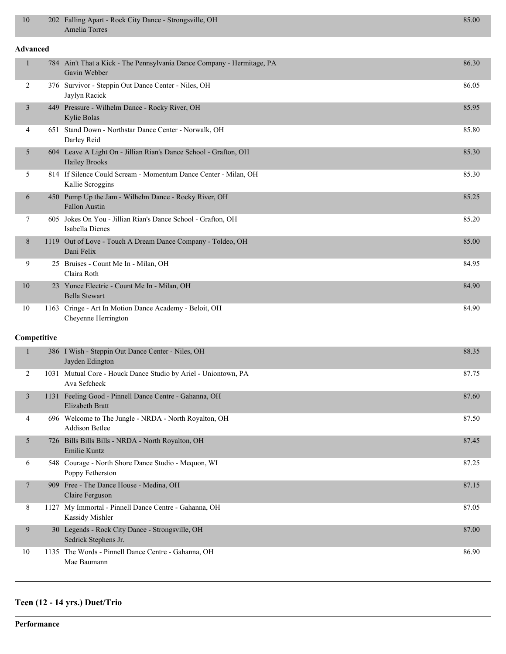| 10              | 202 Falling Apart - Rock City Dance - Strongsville, OH<br>Amelia Torres                  | 85.00 |
|-----------------|------------------------------------------------------------------------------------------|-------|
| <b>Advanced</b> |                                                                                          |       |
| $\mathbf{1}$    | 784 Ain't That a Kick - The Pennsylvania Dance Company - Hermitage, PA<br>Gavin Webber   | 86.30 |
| 2               | 376 Survivor - Steppin Out Dance Center - Niles, OH<br>Jaylyn Racick                     | 86.05 |
| $\mathfrak{Z}$  | 449 Pressure - Wilhelm Dance - Rocky River, OH<br>Kylie Bolas                            | 85.95 |
| 4               | 651 Stand Down - Northstar Dance Center - Norwalk, OH<br>Darley Reid                     | 85.80 |
| 5               | 604 Leave A Light On - Jillian Rian's Dance School - Grafton, OH<br><b>Hailey Brooks</b> | 85.30 |
| 5               | 814 If Silence Could Scream - Momentum Dance Center - Milan, OH<br>Kallie Scroggins      | 85.30 |
| 6               | 450 Pump Up the Jam - Wilhelm Dance - Rocky River, OH<br><b>Fallon Austin</b>            | 85.25 |
| 7               | 605 Jokes On You - Jillian Rian's Dance School - Grafton, OH<br>Isabella Dienes          | 85.20 |
| 8               | 1119 Out of Love - Touch A Dream Dance Company - Toldeo, OH<br>Dani Felix                | 85.00 |
| 9               | 25 Bruises - Count Me In - Milan, OH<br>Claira Roth                                      | 84.95 |
| 10              | 23 Yonce Electric - Count Me In - Milan, OH<br><b>Bella Stewart</b>                      | 84.90 |
| 10              | 1163 Cringe - Art In Motion Dance Academy - Beloit, OH<br>Cheyenne Herrington            | 84.90 |
| Competitive     |                                                                                          |       |
| $\mathbf{1}$    | 386 I Wish - Steppin Out Dance Center - Niles, OH<br>Jayden Edington                     | 88.35 |
| 2               | 1031 Mutual Core - Houck Dance Studio by Ariel - Uniontown, PA<br>Ava Sefcheck           | 87.75 |
| 3               | 1131 Feeling Good - Pinnell Dance Centre - Gahanna, OH<br><b>Elizabeth Bratt</b>         | 87.60 |
| 4               | 696 Welcome to The Jungle - NRDA - North Royalton, OH<br><b>Addison Betlee</b>           | 87.50 |
| 5               | 726 Bills Bills Bills - NRDA - North Royalton, OH<br>Emilie Kuntz                        | 87.45 |
| 6               | 548 Courage - North Shore Dance Studio - Mequon, WI<br>Poppy Fetherston                  | 87.25 |
| 7               | 909 Free - The Dance House - Medina, OH<br>Claire Ferguson                               | 87.15 |
| 8               | 1127 My Immortal - Pinnell Dance Centre - Gahanna, OH<br>Kassidy Mishler                 | 87.05 |
| 9               | 30 Legends - Rock City Dance - Strongsville, OH<br>Sedrick Stephens Jr.                  | 87.00 |
| 10              | 1135 The Words - Pinnell Dance Centre - Gahanna, OH<br>Mae Baumann                       | 86.90 |

# **Teen (12 - 14 yrs.) Duet/Trio**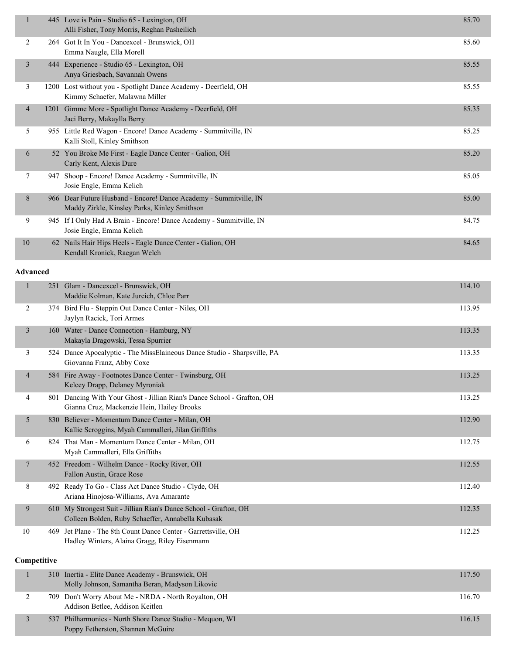| 1                       |     | 445 Love is Pain - Studio 65 - Lexington, OH<br>Alli Fisher, Tony Morris, Reghan Pasheilich                            | 85.70  |
|-------------------------|-----|------------------------------------------------------------------------------------------------------------------------|--------|
| 2                       |     | 264 Got It In You - Dancexcel - Brunswick, OH<br>Emma Naugle, Ella Morell                                              | 85.60  |
| $\overline{\mathbf{3}}$ |     | 444 Experience - Studio 65 - Lexington, OH<br>Anya Griesbach, Savannah Owens                                           | 85.55  |
| 3                       |     | 1200 Lost without you - Spotlight Dance Academy - Deerfield, OH<br>Kimmy Schaefer, Malawna Miller                      | 85.55  |
| 4                       |     | 1201 Gimme More - Spotlight Dance Academy - Deerfield, OH<br>Jaci Berry, Makaylla Berry                                | 85.35  |
| 5                       |     | 955 Little Red Wagon - Encore! Dance Academy - Summitville, IN<br>Kalli Stoll, Kinley Smithson                         | 85.25  |
| 6                       |     | 52 You Broke Me First - Eagle Dance Center - Galion, OH<br>Carly Kent, Alexis Dure                                     | 85.20  |
| 7                       |     | 947 Shoop - Encore! Dance Academy - Summitville, IN<br>Josie Engle, Emma Kelich                                        | 85.05  |
| 8                       |     | 966 Dear Future Husband - Encore! Dance Academy - Summitville, IN<br>Maddy Zirkle, Kinsley Parks, Kinley Smithson      | 85.00  |
| 9                       |     | 945 If I Only Had A Brain - Encore! Dance Academy - Summitville, IN<br>Josie Engle, Emma Kelich                        | 84.75  |
| 10                      |     | 62 Nails Hair Hips Heels - Eagle Dance Center - Galion, OH<br>Kendall Kronick, Raegan Welch                            | 84.65  |
| <b>Advanced</b>         |     |                                                                                                                        |        |
| 1                       |     | 251 Glam - Dancexcel - Brunswick, OH<br>Maddie Kolman, Kate Jurcich, Chloe Parr                                        | 114.10 |
| 2                       |     | 374 Bird Flu - Steppin Out Dance Center - Niles, OH<br>Jaylyn Racick, Tori Armes                                       | 113.95 |
| 3                       |     | 160 Water - Dance Connection - Hamburg, NY<br>Makayla Dragowski, Tessa Spurrier                                        | 113.35 |
| 3                       |     | 524 Dance Apocalyptic - The MissElaineous Dance Studio - Sharpsville, PA<br>Giovanna Franz, Abby Coxe                  | 113.35 |
| $\overline{4}$          |     | 584 Fire Away - Footnotes Dance Center - Twinsburg, OH<br>Kelcey Drapp, Delaney Myroniak                               | 113.25 |
| 4                       |     | 801 Dancing With Your Ghost - Jillian Rian's Dance School - Grafton, OH<br>Gianna Cruz, Mackenzie Hein, Hailey Brooks  | 113.25 |
| 5                       |     | 830 Believer - Momentum Dance Center - Milan, OH<br>Kallie Scroggins, Myah Cammalleri, Jilan Griffiths                 | 112.90 |
| 6                       |     | 824 That Man - Momentum Dance Center - Milan, OH<br>Myah Cammalleri, Ella Griffiths                                    | 112.75 |
| 7                       |     | 452 Freedom - Wilhelm Dance - Rocky River, OH<br>Fallon Austin, Grace Rose                                             | 112.55 |
| 8                       |     | 492 Ready To Go - Class Act Dance Studio - Clyde, OH<br>Ariana Hinojosa-Williams, Ava Amarante                         | 112.40 |
| 9                       |     | 610 My Strongest Suit - Jillian Rian's Dance School - Grafton, OH<br>Colleen Bolden, Ruby Schaeffer, Annabella Kubasak | 112.35 |
| 10                      |     | 469 Jet Plane - The 8th Count Dance Center - Garrettsville, OH<br>Hadley Winters, Alaina Gragg, Riley Eisenmann        | 112.25 |
| Competitive             |     |                                                                                                                        |        |
| 1                       | 310 | Inertia - Elite Dance Academy - Brunswick, OH<br>Molly Johnson, Samantha Beran, Madyson Likovic                        | 117.50 |
| 2                       |     | 709 Don't Worry About Me - NRDA - North Royalton, OH                                                                   | 116.70 |

3 537 Philharmonics - North Shore Dance Studio - Mequon, WI 116.15

Addison Betlee, Addison Keitlen

Poppy Fetherston, Shannen McGuire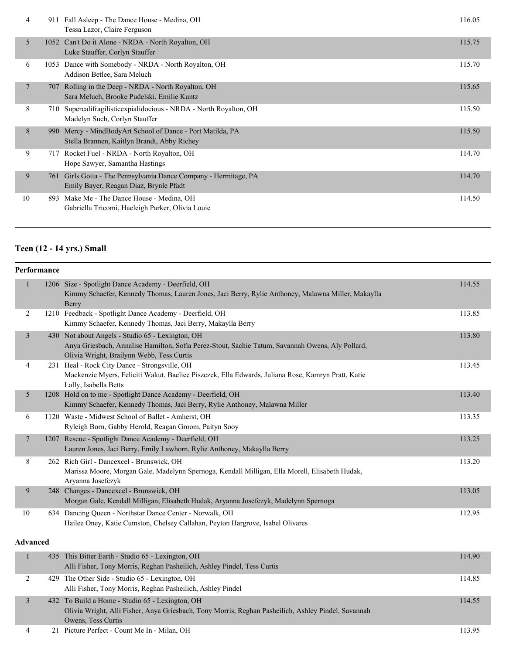| 4              | 911  | Fall Asleep - The Dance House - Medina, OH<br>Tessa Lazor, Claire Ferguson                             | 116.05 |
|----------------|------|--------------------------------------------------------------------------------------------------------|--------|
| 5              |      | 1052 Can't Do it Alone - NRDA - North Royalton, OH<br>Luke Stauffer, Corlyn Stauffer                   | 115.75 |
| 6              | 1053 | Dance with Somebody - NRDA - North Royalton, OH<br>Addison Betlee, Sara Meluch                         | 115.70 |
| $\overline{7}$ | 707  | Rolling in the Deep - NRDA - North Royalton, OH<br>Sara Meluch, Brooke Pudelski, Emilie Kuntz          | 115.65 |
| 8              | 710  | Supercalifragilistic expinesion of NRDA - North Royalton, OH<br>Madelyn Such, Corlyn Stauffer          | 115.50 |
| 8              | 990  | Mercy - MindBodyArt School of Dance - Port Matilda, PA<br>Stella Brannen, Kaitlyn Brandt, Abby Richey  | 115.50 |
| 9              | 717  | Rocket Fuel - NRDA - North Royalton, OH<br>Hope Sawyer, Samantha Hastings                              | 114.70 |
| 9              | 761  | Girls Gotta - The Pennsylvania Dance Company - Hermitage, PA<br>Emily Bayer, Reagan Diaz, Brynle Pfadt | 114.70 |
| 10             | 893  | Make Me - The Dance House - Medina, OH<br>Gabriella Tricomi, Haeleigh Parker, Olivia Louie             | 114.50 |

# **Teen (12 - 14 yrs.) Small**

| Performance     |                                                                                                                                                                                                   |        |
|-----------------|---------------------------------------------------------------------------------------------------------------------------------------------------------------------------------------------------|--------|
| 1               | 1206 Size - Spotlight Dance Academy - Deerfield, OH<br>Kimmy Schaefer, Kennedy Thomas, Lauren Jones, Jaci Berry, Rylie Anthoney, Malawna Miller, Makaylla<br>Berry                                | 114.55 |
| $\overline{2}$  | 1210 Feedback - Spotlight Dance Academy - Deerfield, OH<br>Kimmy Schaefer, Kennedy Thomas, Jaci Berry, Makaylla Berry                                                                             | 113.85 |
| $\mathfrak{Z}$  | 430 Not about Angels - Studio 65 - Lexington, OH<br>Anya Griesbach, Annalise Hamilton, Sofia Perez-Stout, Sachie Tatum, Savannah Owens, Aly Pollard,<br>Olivia Wright, Brailynn Webb, Tess Curtis | 113.80 |
| 4               | 231 Heal - Rock City Dance - Strongsville, OH<br>Mackenzie Myers, Feliciti Wakut, Baeliee Piszczek, Ella Edwards, Juliana Rose, Kamryn Pratt, Katie<br>Lally, Isabella Betts                      | 113.45 |
| 5               | 1208 Hold on to me - Spotlight Dance Academy - Deerfield, OH<br>Kimmy Schaefer, Kennedy Thomas, Jaci Berry, Rylie Anthoney, Malawna Miller                                                        | 113.40 |
| 6               | 1120 Waste - Midwest School of Ballet - Amherst, OH<br>Ryleigh Born, Gabby Herold, Reagan Groom, Paityn Sooy                                                                                      | 113.35 |
| $\tau$          | 1207 Rescue - Spotlight Dance Academy - Deerfield, OH<br>Lauren Jones, Jaci Berry, Emily Lawhorn, Rylie Anthoney, Makaylla Berry                                                                  | 113.25 |
| 8               | 262 Rich Girl - Dancexcel - Brunswick, OH<br>Marissa Moore, Morgan Gale, Madelynn Spernoga, Kendall Milligan, Ella Morell, Elisabeth Hudak,<br>Aryanna Josefczyk                                  | 113.20 |
| 9               | 248 Changes - Dancexcel - Brunswick, OH<br>Morgan Gale, Kendall Milligan, Elisabeth Hudak, Aryanna Josefczyk, Madelynn Spernoga                                                                   | 113.05 |
| $10\,$          | 634 Dancing Queen - Northstar Dance Center - Norwalk, OH<br>Hailee Oney, Katie Cumston, Chelsey Callahan, Peyton Hargrove, Isabel Olivares                                                        | 112.95 |
| <b>Advanced</b> |                                                                                                                                                                                                   |        |
| $\mathbf{1}$    | 435 This Bitter Earth - Studio 65 - Lexington, OH<br>Alli Fisher, Tony Morris, Reghan Pasheilich, Ashley Pindel, Tess Curtis                                                                      | 114.90 |
| 2               | 429 The Other Side - Studio 65 - Lexington, OH<br>Alli Fisher, Tony Morris, Reghan Pasheilich, Ashley Pindel                                                                                      | 114.85 |
| 3               | 432 To Build a Home - Studio 65 - Lexington, OH<br>Olivia Wright, Alli Fisher, Anya Griesbach, Tony Morris, Reghan Pasheilich, Ashley Pindel, Savannah<br>Owens, Tess Curtis                      | 114.55 |

4 21 Picture Perfect - Count Me In - Milan, OH 113.95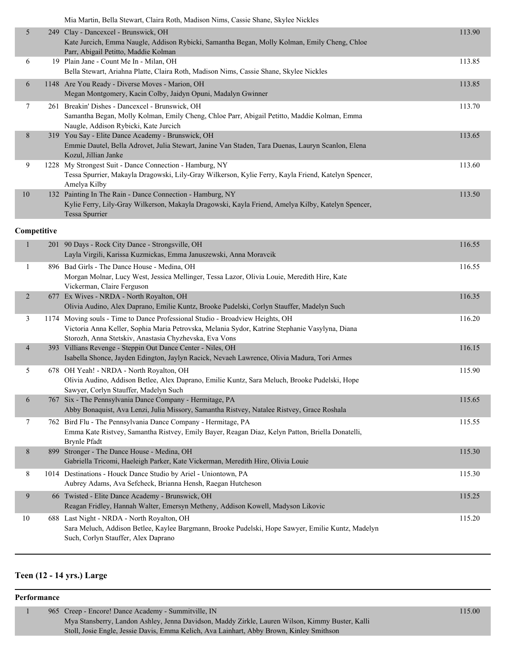|  | Mia Martin, Bella Stewart, Claira Roth, Madison Nims, Cassie Shane, Skylee Nickles |  |
|--|------------------------------------------------------------------------------------|--|
|  |                                                                                    |  |

|    | <u><b>HIM HULUI, DVIM ON HUL, CIMIN ROM, HUMBOLI HIMO, CHOSIC OIMIIC, OR HO I HURRO</b></u>                                                                                             |        |
|----|-----------------------------------------------------------------------------------------------------------------------------------------------------------------------------------------|--------|
| 5  | 249 Clay - Dancexcel - Brunswick, OH<br>Kate Jurcich, Emma Naugle, Addison Rybicki, Samantha Began, Molly Kolman, Emily Cheng, Chloe<br>Parr, Abigail Petitto, Maddie Kolman            | 113.90 |
| 6  | 19 Plain Jane - Count Me In - Milan, OH<br>Bella Stewart, Ariahna Platte, Claira Roth, Madison Nims, Cassie Shane, Skylee Nickles                                                       | 113.85 |
| 6  | 1148 Are You Ready - Diverse Moves - Marion, OH<br>Megan Montgomery, Kacin Colby, Jaidyn Opuni, Madalyn Gwinner                                                                         | 113.85 |
| 7  | 261 Breakin' Dishes - Dancexcel - Brunswick, OH<br>Samantha Began, Molly Kolman, Emily Cheng, Chloe Parr, Abigail Petitto, Maddie Kolman, Emma<br>Naugle, Addison Rybicki, Kate Jurcich | 113.70 |
| 8  | 319 You Say - Elite Dance Academy - Brunswick, OH<br>Emmie Dautel, Bella Adrovet, Julia Stewart, Janine Van Staden, Tara Duenas, Lauryn Scanlon, Elena<br>Kozul, Jillian Janke          | 113.65 |
| 9  | 1228 My Strongest Suit - Dance Connection - Hamburg, NY<br>Tessa Spurrier, Makayla Dragowski, Lily-Gray Wilkerson, Kylie Ferry, Kayla Friend, Katelyn Spencer,<br>Amelya Kilby          | 113.60 |
| 10 | 132 Painting In The Rain - Dance Connection - Hamburg, NY<br>Kylie Ferry, Lily-Gray Wilkerson, Makayla Dragowski, Kayla Friend, Amelya Kilby, Katelyn Spencer,<br>Tessa Spurrier        | 113.50 |

### **Competitive**

| $\mathbf{1}$   | 201 90 Days - Rock City Dance - Strongsville, OH<br>Layla Virgili, Karissa Kuzmickas, Emma Januszewski, Anna Moravcik                                                                                                                     | 116.55 |
|----------------|-------------------------------------------------------------------------------------------------------------------------------------------------------------------------------------------------------------------------------------------|--------|
| 1              | 896 Bad Girls - The Dance House - Medina, OH<br>Morgan Molnar, Lucy West, Jessica Mellinger, Tessa Lazor, Olivia Louie, Meredith Hire, Kate<br>Vickerman, Claire Ferguson                                                                 | 116.55 |
| $\overline{2}$ | 677 Ex Wives - NRDA - North Royalton, OH<br>Olivia Audino, Alex Daprano, Emilie Kuntz, Brooke Pudelski, Corlyn Stauffer, Madelyn Such                                                                                                     | 116.35 |
| 3              | 1174 Moving souls - Time to Dance Professional Studio - Broadview Heights, OH<br>Victoria Anna Keller, Sophia Maria Petrovska, Melania Sydor, Katrine Stephanie Vasylyna, Diana<br>Storozh, Anna Stetskiv, Anastasia Chyzhevska, Eva Vons | 116.20 |
| 4              | 393 Villians Revenge - Steppin Out Dance Center - Niles, OH<br>Isabella Shonce, Jayden Edington, Jaylyn Racick, Nevaeh Lawrence, Olivia Madura, Tori Armes                                                                                | 116.15 |
| 5              | 678 OH Yeah! - NRDA - North Royalton, OH<br>Olivia Audino, Addison Betlee, Alex Daprano, Emilie Kuntz, Sara Meluch, Brooke Pudelski, Hope<br>Sawyer, Corlyn Stauffer, Madelyn Such                                                        | 115.90 |
| 6              | 767 Six - The Pennsylvania Dance Company - Hermitage, PA<br>Abby Bonaquist, Ava Lenzi, Julia Missory, Samantha Ristvey, Natalee Ristvey, Grace Roshala                                                                                    | 115.65 |
| $\tau$         | 762 Bird Flu - The Pennsylvania Dance Company - Hermitage, PA<br>Emma Kate Ristvey, Samantha Ristvey, Emily Bayer, Reagan Diaz, Kelyn Patton, Briella Donatelli,<br><b>Brynle Pfadt</b>                                                   | 115.55 |
| 8              | 899 Stronger - The Dance House - Medina, OH<br>Gabriella Tricomi, Haeleigh Parker, Kate Vickerman, Meredith Hire, Olivia Louie                                                                                                            | 115.30 |
| 8              | 1014 Destinations - Houck Dance Studio by Ariel - Uniontown, PA<br>Aubrey Adams, Ava Sefcheck, Brianna Hensh, Raegan Hutcheson                                                                                                            | 115.30 |
| 9              | 66 Twisted - Elite Dance Academy - Brunswick, OH<br>Reagan Fridley, Hannah Walter, Emersyn Metheny, Addison Kowell, Madyson Likovic                                                                                                       | 115.25 |
| 10             | 688 Last Night - NRDA - North Royalton, OH<br>Sara Meluch, Addison Betlee, Kaylee Bargmann, Brooke Pudelski, Hope Sawyer, Emilie Kuntz, Madelyn<br>Such, Corlyn Stauffer, Alex Daprano                                                    | 115.20 |

# **Teen (12 - 14 yrs.) Large**

#### **Performance**

| 965 Creep - Encore! Dance Academy - Summitville, IN                                             | 115.00 |
|-------------------------------------------------------------------------------------------------|--------|
| Mya Stansberry, Landon Ashley, Jenna Davidson, Maddy Zirkle, Lauren Wilson, Kimmy Buster, Kalli |        |
| Stoll, Josie Engle, Jessie Davis, Emma Kelich, Ava Lainhart, Abby Brown, Kinley Smithson        |        |
|                                                                                                 |        |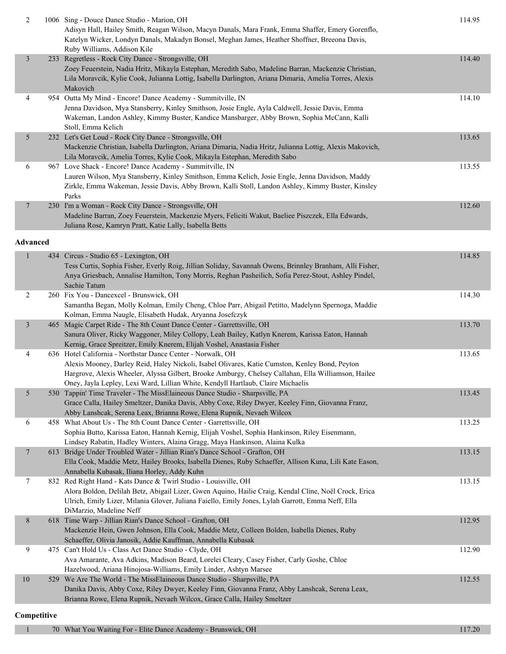| $\overline{c}$  | 1006 Sing - Douce Dance Studio - Marion, OH<br>Adisyn Hall, Hailey Smith, Reagan Wilson, Macyn Danals, Mara Frank, Emma Shaffer, Emery Gorenflo,<br>Katelyn Wicker, Londyn Danals, Makadyn Bonsel, Meghan James, Heather Shoffner, Breeona Davis,<br>Ruby Williams, Addison Kile                                                                         | 114.95 |
|-----------------|----------------------------------------------------------------------------------------------------------------------------------------------------------------------------------------------------------------------------------------------------------------------------------------------------------------------------------------------------------|--------|
| $\mathfrak{Z}$  | 233 Regretless - Rock City Dance - Strongsville, OH<br>Zoey Feuerstein, Nadia Hritz, Mikayla Estephan, Meredith Sabo, Madeline Barran, Mackenzie Christian,<br>Lila Moravcik, Kylie Cook, Julianna Lottig, Isabella Darlington, Ariana Dimaria, Amelia Torres, Alexis<br>Makovich                                                                        | 114.40 |
| 4               | 954 Outta My Mind - Encore! Dance Academy - Summitville, IN<br>Jenna Davidson, Mya Stansberry, Kinley Smithson, Josie Engle, Ayla Caldwell, Jessie Davis, Emma<br>Wakeman, Landon Ashley, Kimmy Buster, Kandice Mansbarger, Abby Brown, Sophia McCann, Kalli<br>Stoll, Emma Kelich                                                                       | 114.10 |
| 5               | 232 Let's Get Loud - Rock City Dance - Strongsville, OH<br>Mackenzie Christian, Isabella Darlington, Ariana Dimaria, Nadia Hritz, Julianna Lottig, Alexis Makovich,<br>Lila Moravcik, Amelia Torres, Kylie Cook, Mikayla Estephan, Meredith Sabo                                                                                                         | 113.65 |
| 6               | 967 Love Shack - Encore! Dance Academy - Summitville, IN<br>Lauren Wilson, Mya Stansberry, Kinley Smithson, Emma Kelich, Josie Engle, Jenna Davidson, Maddy<br>Zirkle, Emma Wakeman, Jessie Davis, Abby Brown, Kalli Stoll, Landon Ashley, Kimmy Buster, Kinsley<br>Parks                                                                                | 113.55 |
| 7               | 230 I'm a Woman - Rock City Dance - Strongsville, OH<br>Madeline Barran, Zoey Feuerstein, Mackenzie Myers, Feliciti Wakut, Baeliee Piszczek, Ella Edwards,<br>Juliana Rose, Kamryn Pratt, Katie Lally, Isabella Betts                                                                                                                                    | 112.60 |
| <b>Advanced</b> |                                                                                                                                                                                                                                                                                                                                                          |        |
| $\mathbf{1}$    | 434 Circus - Studio 65 - Lexington, OH<br>Tess Curtis, Sophia Fisher, Everly Roig, Jillian Soliday, Savannah Owens, Brinnley Branham, Alli Fisher,<br>Anya Griesbach, Annalise Hamilton, Tony Morris, Reghan Pasheilich, Sofia Perez-Stout, Ashley Pindel,<br>Sachie Tatum                                                                               | 114.85 |
| 2               | 260 Fix You - Dancexcel - Brunswick, OH<br>Samantha Began, Molly Kolman, Emily Cheng, Chloe Parr, Abigail Petitto, Madelynn Spernoga, Maddie<br>Kolman, Emma Naugle, Elisabeth Hudak, Aryanna Josefczyk                                                                                                                                                  | 114.30 |
| $\mathfrak{Z}$  | 465 Magic Carpet Ride - The 8th Count Dance Center - Garrettsville, OH<br>Sanura Oliver, Ricky Waggoner, Miley Collopy, Leah Bailey, Katlyn Knerem, Karissa Eaton, Hannah<br>Kernig, Grace Spreitzer, Emily Knerem, Elijah Voshel, Anastasia Fisher                                                                                                      | 113.70 |
| 4               | 636 Hotel California - Northstar Dance Center - Norwalk, OH<br>Alexis Mooney, Darley Reid, Haley Nickoli, Isabel Olivares, Katie Cumston, Kenley Bond, Peyton<br>Hargrove, Alexis Wheeler, Alyssa Gilbert, Brooke Amburgy, Chelsey Callahan, Ella Williamson, Hailee<br>Oney, Jayla Lepley, Lexi Ward, Lillian White, Kendyll Hartlaub, Claire Michaelis | 113.65 |
| 5               | 530 Tappin' Time Traveler - The MissElaineous Dance Studio - Sharpsville, PA<br>Grace Calla, Hailey Smeltzer, Danika Davis, Abby Coxe, Riley Dwyer, Keeley Finn, Giovanna Franz,<br>Abby Lanshcak, Serena Leax, Brianna Rowe, Elena Rupnik, Nevaeh Wilcox                                                                                                | 113.45 |
| 6               | 458 What About Us - The 8th Count Dance Center - Garrettsville, OH<br>Sophia Butto, Karissa Eaton, Hannah Kernig, Elijah Voshel, Sophia Hankinson, Riley Eisenmann,<br>Lindsey Rabatin, Hadley Winters, Alaina Gragg, Maya Hankinson, Alaina Kulka                                                                                                       | 113.25 |
| 7               | 613 Bridge Under Troubled Water - Jillian Rian's Dance School - Grafton, OH<br>Ella Cook, Maddie Metz, Hailey Brooks, Isabella Dienes, Ruby Schaeffer, Allison Kuna, Lili Kate Eason,<br>Annabella Kubasak, Iliana Horley, Addy Kuhn                                                                                                                     | 113.15 |
| 7               | 832 Red Right Hand - Kats Dance & Twirl Studio - Louisville, OH<br>Alora Boldon, Delilah Betz, Abigail Lizer, Gwen Aquino, Hailie Craig, Kendal Cline, Noël Crock, Erica<br>Ulrich, Emily Lizer, Milania Glover, Juliana Faiello, Emily Jones, Lylah Garrott, Emma Neff, Ella<br>DiMarzio, Madeline Neff                                                 | 113.15 |
| $8\,$           | 618 Time Warp - Jillian Rian's Dance School - Grafton, OH<br>Mackenzie Hein, Gwen Johnson, Ella Cook, Maddie Metz, Colleen Bolden, Isabella Dienes, Ruby<br>Schaeffer, Olivia Janosik, Addie Kauffman, Annabella Kubasak                                                                                                                                 | 112.95 |
| 9               | 475 Can't Hold Us - Class Act Dance Studio - Clyde, OH<br>Ava Amarante, Ava Adkins, Madison Beard, Lorelei Cleary, Casey Fisher, Carly Goshe, Chloe<br>Hazelwood, Ariana Hinojosa-Williams, Emily Linder, Ashtyn Marsee                                                                                                                                  | 112.90 |
| $10\,$          | 529 We Are The World - The MissElaineous Dance Studio - Sharpsville, PA<br>Danika Davis, Abby Coxe, Riley Dwyer, Keeley Finn, Giovanna Franz, Abby Lanshcak, Serena Leax,<br>Brianna Rowe, Elena Rupnik, Nevaeh Wilcox, Grace Calla, Hailey Smeltzer                                                                                                     | 112.55 |
| Competitive     |                                                                                                                                                                                                                                                                                                                                                          |        |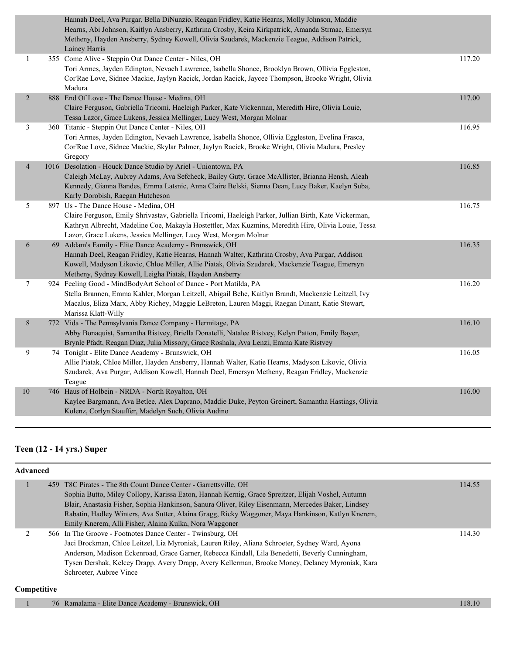|                  | Hannah Deel, Ava Purgar, Bella DiNunzio, Reagan Fridley, Katie Hearns, Molly Johnson, Maddie<br>Hearns, Abi Johnson, Kaitlyn Ansberry, Kathrina Crosby, Keira Kirkpatrick, Amanda Strmac, Emersyn<br>Metheny, Hayden Ansberry, Sydney Kowell, Olivia Szudarek, Mackenzie Teague, Addison Patrick,<br>Lainey Harris        |        |
|------------------|---------------------------------------------------------------------------------------------------------------------------------------------------------------------------------------------------------------------------------------------------------------------------------------------------------------------------|--------|
| $\mathbf{1}$     | 355 Come Alive - Steppin Out Dance Center - Niles, OH<br>Tori Armes, Jayden Edington, Nevaeh Lawrence, Isabella Shonce, Brooklyn Brown, Ollivia Eggleston,<br>Cor'Rae Love, Sidnee Mackie, Jaylyn Racick, Jordan Racick, Jaycee Thompson, Brooke Wright, Olivia<br>Madura                                                 | 117.20 |
| $\sqrt{2}$       | 888 End Of Love - The Dance House - Medina, OH<br>Claire Ferguson, Gabriella Tricomi, Haeleigh Parker, Kate Vickerman, Meredith Hire, Olivia Louie,<br>Tessa Lazor, Grace Lukens, Jessica Mellinger, Lucy West, Morgan Molnar                                                                                             | 117.00 |
| $\mathfrak{Z}$   | 360 Titanic - Steppin Out Dance Center - Niles, OH<br>Tori Armes, Jayden Edington, Nevaeh Lawrence, Isabella Shonce, Ollivia Eggleston, Evelina Frasca,<br>Cor'Rae Love, Sidnee Mackie, Skylar Palmer, Jaylyn Racick, Brooke Wright, Olivia Madura, Presley<br>Gregory                                                    | 116.95 |
| $\overline{4}$   | 1016 Desolation - Houck Dance Studio by Ariel - Uniontown, PA<br>Caleigh McLay, Aubrey Adams, Ava Sefcheck, Bailey Guty, Grace McAllister, Brianna Hensh, Aleah<br>Kennedy, Gianna Bandes, Emma Latsnic, Anna Claire Belski, Sienna Dean, Lucy Baker, Kaelyn Suba,<br>Karly Dorobish, Raegan Hutcheson                    | 116.85 |
| 5                | 897 Us - The Dance House - Medina, OH<br>Claire Ferguson, Emily Shrivastav, Gabriella Tricomi, Haeleigh Parker, Jullian Birth, Kate Vickerman,<br>Kathryn Albrecht, Madeline Coe, Makayla Hostettler, Max Kuzmins, Meredith Hire, Olivia Louie, Tessa<br>Lazor, Grace Lukens, Jessica Mellinger, Lucy West, Morgan Molnar | 116.75 |
| 6                | 69 Addam's Family - Elite Dance Academy - Brunswick, OH<br>Hannah Deel, Reagan Fridley, Katie Hearns, Hannah Walter, Kathrina Crosby, Ava Purgar, Addison<br>Kowell, Madyson Likovic, Chloe Miller, Allie Piatak, Olivia Szudarek, Mackenzie Teague, Emersyn<br>Metheny, Sydney Kowell, Leigha Piatak, Hayden Ansberry    | 116.35 |
| $\boldsymbol{7}$ | 924 Feeling Good - MindBodyArt School of Dance - Port Matilda, PA<br>Stella Brannen, Emma Kahler, Morgan Leitzell, Abigail Behe, Kaitlyn Brandt, Mackenzie Leitzell, Ivy<br>Macalus, Eliza Marx, Abby Richey, Maggie LeBreton, Lauren Maggi, Raegan Dinant, Katie Stewart,<br>Marissa Klatt-Willy                         | 116.20 |
| $8\,$            | 772 Vida - The Pennsylvania Dance Company - Hermitage, PA<br>Abby Bonaquist, Samantha Ristvey, Briella Donatelli, Natalee Ristvey, Kelyn Patton, Emily Bayer,<br>Brynle Pfadt, Reagan Diaz, Julia Missory, Grace Roshala, Ava Lenzi, Emma Kate Ristvey                                                                    | 116.10 |
| 9                | 74 Tonight - Elite Dance Academy - Brunswick, OH<br>Allie Piatak, Chloe Miller, Hayden Ansberry, Hannah Walter, Katie Hearns, Madyson Likovic, Olivia<br>Szudarek, Ava Purgar, Addison Kowell, Hannah Deel, Emersyn Metheny, Reagan Fridley, Mackenzie<br>Teague                                                          | 116.05 |
| $10\,$           | 746 Haus of Holbein - NRDA - North Royalton, OH<br>Kaylee Bargmann, Ava Betlee, Alex Daprano, Maddie Duke, Peyton Greinert, Samantha Hastings, Olivia<br>Kolenz, Corlyn Stauffer, Madelyn Such, Olivia Audino                                                                                                             | 116.00 |

# **Teen (12 - 14 yrs.) Super**

| <b>Advanced</b> |                                                                                                                                                                                                                                                                                                                                                                                                                                            |        |  |
|-----------------|--------------------------------------------------------------------------------------------------------------------------------------------------------------------------------------------------------------------------------------------------------------------------------------------------------------------------------------------------------------------------------------------------------------------------------------------|--------|--|
|                 | 459 T8C Pirates - The 8th Count Dance Center - Garrettsville, OH<br>Sophia Butto, Miley Collopy, Karissa Eaton, Hannah Kernig, Grace Spreitzer, Elijah Voshel, Autumn<br>Blair, Anastasia Fisher, Sophia Hankinson, Sanura Oliver, Riley Eisenmann, Mercedes Baker, Lindsey<br>Rabatin, Hadley Winters, Ava Sutter, Alaina Gragg, Ricky Waggoner, Maya Hankinson, Katlyn Knerem,<br>Emily Knerem, Alli Fisher, Alaina Kulka, Nora Waggoner | 114.55 |  |
|                 | 566 In The Groove - Footnotes Dance Center - Twinsburg, OH<br>Jaci Brockman, Chloe Leitzel, Lia Myroniak, Lauren Riley, Aliana Schroeter, Sydney Ward, Ayona<br>Anderson, Madison Eckenroad, Grace Garner, Rebecca Kindall, Lila Benedetti, Beverly Cunningham,<br>Tysen Dershak, Kelcey Drapp, Avery Drapp, Avery Kellerman, Brooke Money, Delaney Myroniak, Kara<br>Schroeter, Aubree Vince                                              | 114.30 |  |

### **Competitive**

| O <sub>H</sub><br>Brunswick.<br>Academy<br>$H$ lite<br>Dance<br>Ramalama<br>/b |  |
|--------------------------------------------------------------------------------|--|
|                                                                                |  |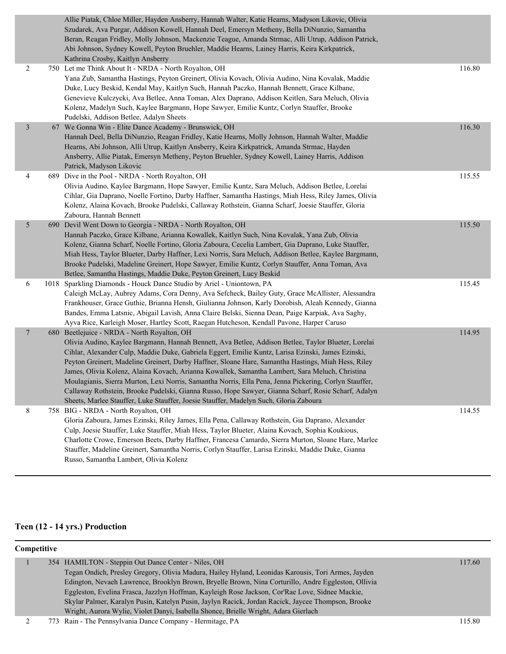|                | Allie Piatak, Chloe Miller, Hayden Ansberry, Hannah Walter, Katie Hearns, Madyson Likovic, Olivia<br>Szudarek, Ava Purgar, Addison Kowell, Hannah Deel, Emersyn Metheny, Bella DiNunzio, Samantha<br>Beran, Reagan Fridley, Molly Johnson, Mackenzie Teague, Amanda Strmac, Alli Utrup, Addison Patrick,<br>Abi Johnson, Sydney Kowell, Peyton Bruehler, Maddie Hearns, Lainey Harris, Keira Kirkpatrick,<br>Kathrina Crosby, Kaitlyn Ansberry                                                                                                                                                                                                                                                                                                                               |        |
|----------------|------------------------------------------------------------------------------------------------------------------------------------------------------------------------------------------------------------------------------------------------------------------------------------------------------------------------------------------------------------------------------------------------------------------------------------------------------------------------------------------------------------------------------------------------------------------------------------------------------------------------------------------------------------------------------------------------------------------------------------------------------------------------------|--------|
| 2              | 750 Let me Think About It - NRDA - North Royalton, OH<br>Yana Zub, Samantha Hastings, Peyton Greinert, Olivia Kovach, Olivia Audino, Nina Kovalak, Maddie<br>Duke, Lucy Beskid, Kendal May, Kaitlyn Such, Hannah Paczko, Hannah Bennett, Grace Kilbane,<br>Genevieve Kulczycki, Ava Betlee, Anna Toman, Alex Daprano, Addison Keitlen, Sara Meluch, Olivia<br>Kolenz, Madelyn Such, Kaylee Bargmann, Hope Sawyer, Emilie Kuntz, Corlyn Stauffer, Brooke<br>Pudelski, Addison Betlee, Adalyn Sheets                                                                                                                                                                                                                                                                           | 116.80 |
| $\mathfrak{Z}$ | 67 We Gonna Win - Elite Dance Academy - Brunswick, OH<br>Hannah Deel, Bella DiNunzio, Reagan Fridley, Katie Hearns, Molly Johnson, Hannah Walter, Maddie<br>Hearns, Abi Johnson, Alli Utrup, Kaitlyn Ansberry, Keira Kirkpatrick, Amanda Strmac, Hayden<br>Ansberry, Allie Piatak, Emersyn Metheny, Peyton Bruehler, Sydney Kowell, Lainey Harris, Addison<br>Patrick, Madyson Likovic                                                                                                                                                                                                                                                                                                                                                                                       | 116.30 |
| 4              | 689 Dive in the Pool - NRDA - North Royalton, OH<br>Olivia Audino, Kaylee Bargmann, Hope Sawyer, Emilie Kuntz, Sara Meluch, Addison Betlee, Lorelai<br>Cihlar, Gia Daprano, Noelle Fortino, Darby Haffner, Samantha Hastings, Miah Hess, Riley James, Olivia<br>Kolenz, Alaina Kovach, Brooke Pudelski, Callaway Rothstein, Gianna Scharf, Joesie Stauffer, Gloria<br>Zaboura, Hannah Bennett                                                                                                                                                                                                                                                                                                                                                                                | 115.55 |
| 5              | 690 Devil Went Down to Georgia - NRDA - North Royalton, OH<br>Hannah Paczko, Grace Kilbane, Arianna Kowallek, Kaitlyn Such, Nina Kovalak, Yana Zub, Olivia<br>Kolenz, Gianna Scharf, Noelle Fortino, Gloria Zaboura, Cecelia Lambert, Gia Daprano, Luke Stauffer,<br>Miah Hess, Taylor Blueter, Darby Haffner, Lexi Norris, Sara Meluch, Addison Betlee, Kaylee Bargmann,<br>Brooke Pudelski, Madeline Greinert, Hope Sawyer, Emilie Kuntz, Corlyn Stauffer, Anna Toman, Ava<br>Betlee, Samantha Hastings, Maddie Duke, Peyton Greinert, Lucy Beskid                                                                                                                                                                                                                         | 115.50 |
| 6              | 1018 Sparkling Diamonds - Houck Dance Studio by Ariel - Uniontown, PA<br>Caleigh McLay, Aubrey Adams, Cora Denny, Ava Sefcheck, Bailey Guty, Grace McAllister, Alessandra<br>Frankhouser, Grace Guthie, Brianna Hensh, Giulianna Johnson, Karly Dorobish, Aleah Kennedy, Gianna<br>Bandes, Emma Latsnic, Abigail Lavish, Anna Claire Belski, Sienna Dean, Paige Karpiak, Ava Saghy,<br>Ayva Rice, Karleigh Moser, Hartley Scott, Raegan Hutcheson, Kendall Pavone, Harper Caruso                                                                                                                                                                                                                                                                                             | 115.45 |
| $\overline{7}$ | 680 Beetlejuice - NRDA - North Royalton, OH<br>Olivia Audino, Kaylee Bargmann, Hannah Bennett, Ava Betlee, Addison Betlee, Taylor Blueter, Lorelai<br>Cihlar, Alexander Culp, Maddie Duke, Gabriela Eggert, Emilie Kuntz, Larisa Ezinski, James Ezinski,<br>Peyton Greinert, Madeline Greinert, Darby Haffner, Sloane Hare, Samantha Hastings, Miah Hess, Riley<br>James, Olivia Kolenz, Alaina Kovach, Arianna Kowallek, Samantha Lambert, Sara Meluch, Christina<br>Moulagianis, Sierra Murton, Lexi Norris, Samantha Norris, Ella Pena, Jenna Pickering, Corlyn Stauffer,<br>Callaway Rothstein, Brooke Pudelski, Gianna Russo, Hope Sawyer, Gianna Scharf, Rosie Scharf, Adalyn<br>Sheets, Marlee Stauffer, Luke Stauffer, Joesie Stauffer, Madelyn Such, Gloria Zaboura | 114.95 |
| 8              | 758 BIG - NRDA - North Royalton, OH<br>Gloria Zaboura, James Ezinski, Riley James, Ella Pena, Callaway Rothstein, Gia Daprano, Alexander<br>Culp, Joesie Stauffer, Luke Stauffer, Miah Hess, Taylor Blueter, Alaina Kovach, Sophia Koukious,<br>Charlotte Crowe, Emerson Beets, Darby Haffner, Francesa Camardo, Sierra Murton, Sloane Hare, Marlee<br>Stauffer, Madeline Greinert, Samantha Norris, Corlyn Stauffer, Larisa Ezinski, Maddie Duke, Gianna<br>Russo, Samantha Lambert, Olivia Kolenz                                                                                                                                                                                                                                                                          | 114.55 |

# **Teen (12 - 14 yrs.) Production**

# **Competitive**

| 354 HAMILTON - Steppin Out Dance Center - Niles, OH                                                 | 117.60 |
|-----------------------------------------------------------------------------------------------------|--------|
| Tegan Ondich, Presley Gregory, Olivia Madura, Hailey Hyland, Leonidas Karousis, Tori Armes, Jayden  |        |
| Edington, Nevaeh Lawrence, Brooklyn Brown, Bryelle Brown, Nina Corturillo, Andre Eggleston, Ollivia |        |
| Eggleston, Evelina Frasca, Jazzlyn Hoffman, Kayleigh Rose Jackson, Cor'Rae Love, Sidnee Mackie,     |        |
| Skylar Palmer, Karalyn Pusin, Katelyn Pusin, Jaylyn Racick, Jordan Racick, Jaycee Thompson, Brooke  |        |
| Wright, Aurora Wylie, Violet Danyi, Isabella Shonce, Brielle Wright, Adara Gierlach                 |        |
| 773 Rain - The Pennsylvania Dance Company - Hermitage, PA                                           | 115.80 |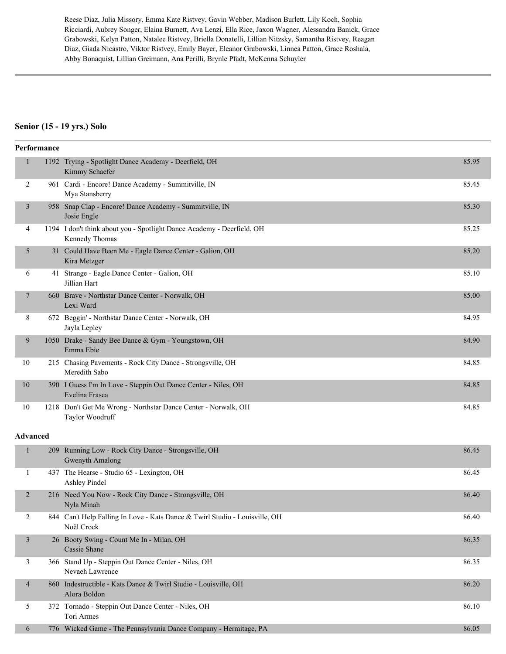Reese Diaz, Julia Missory, Emma Kate Ristvey, Gavin Webber, Madison Burlett, Lily Koch, Sophia Ricciardi, Aubrey Songer, Elaina Burnett, Ava Lenzi, Ella Rice, Jaxon Wagner, Alessandra Banick, Grace Grabowski, Kelyn Patton, Natalee Ristvey, Briella Donatelli, Lillian Nitzsky, Samantha Ristvey, Reagan Diaz, Giada Nicastro, Viktor Ristvey, Emily Bayer, Eleanor Grabowski, Linnea Patton, Grace Roshala, Abby Bonaquist, Lillian Greimann, Ana Perilli, Brynle Pfadt, McKenna Schuyler

#### **Senior (15 - 19 yrs.) Solo**

|                 | Performance |                                                                                           |       |
|-----------------|-------------|-------------------------------------------------------------------------------------------|-------|
| $\mathbf{1}$    |             | 1192 Trying - Spotlight Dance Academy - Deerfield, OH<br>Kimmy Schaefer                   | 85.95 |
| 2               |             | 961 Cardi - Encore! Dance Academy - Summitville, IN<br>Mya Stansberry                     | 85.45 |
| 3               |             | 958 Snap Clap - Encore! Dance Academy - Summitville, IN<br>Josie Engle                    | 85.30 |
| 4               |             | 1194 I don't think about you - Spotlight Dance Academy - Deerfield, OH<br>Kennedy Thomas  | 85.25 |
| 5               |             | 31 Could Have Been Me - Eagle Dance Center - Galion, OH<br>Kira Metzger                   | 85.20 |
| 6               |             | 41 Strange - Eagle Dance Center - Galion, OH<br>Jillian Hart                              | 85.10 |
| 7               |             | 660 Brave - Northstar Dance Center - Norwalk, OH<br>Lexi Ward                             | 85.00 |
| 8               |             | 672 Beggin' - Northstar Dance Center - Norwalk, OH<br>Jayla Lepley                        | 84.95 |
| 9               |             | 1050 Drake - Sandy Bee Dance & Gym - Youngstown, OH<br>Emma Ebie                          | 84.90 |
| 10              |             | 215 Chasing Pavements - Rock City Dance - Strongsville, OH<br>Meredith Sabo               | 84.85 |
| 10              |             | 390 I Guess I'm In Love - Steppin Out Dance Center - Niles, OH<br>Evelina Frasca          | 84.85 |
| 10              |             | 1218 Don't Get Me Wrong - Northstar Dance Center - Norwalk, OH<br>Taylor Woodruff         | 84.85 |
| <b>Advanced</b> |             |                                                                                           |       |
| $\mathbf{1}$    |             | 209 Running Low - Rock City Dance - Strongsville, OH<br>Gwenyth Amalong                   | 86.45 |
| 1               |             | 437 The Hearse - Studio 65 - Lexington, OH<br><b>Ashley Pindel</b>                        | 86.45 |
| 2               |             | 216 Need You Now - Rock City Dance - Strongsville, OH<br>Nyla Minah                       | 86.40 |
| $\sqrt{2}$      |             | 844 Can't Help Falling In Love - Kats Dance & Twirl Studio - Louisville, OH<br>Noël Crock | 86.40 |
| $\mathfrak{Z}$  |             | 26 Booty Swing - Count Me In - Milan, OH<br>Cassie Shane                                  | 86.35 |
| 3               |             | 366 Stand Up - Steppin Out Dance Center - Niles, OH<br>Nevaeh Lawrence                    | 86.35 |
| $\overline{4}$  |             | 860 Indestructible - Kats Dance & Twirl Studio - Louisville, OH                           | 86.20 |

### Alora Boldon 5 372 Tornado - Steppin Out Dance Center - Niles, OH 86.10 Tori Armes

6 776 Wicked Game - The Pennsylvania Dance Company - Hermitage, PA 86.05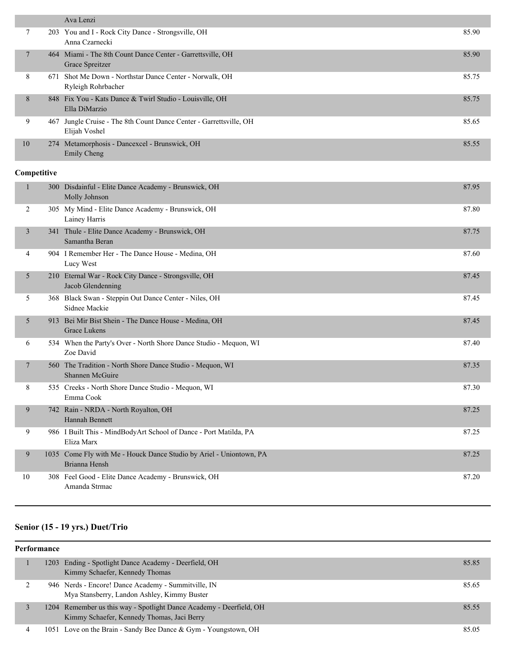|    |     | Ava Lenzi                                                                       |       |
|----|-----|---------------------------------------------------------------------------------|-------|
| 7  |     | 203 You and I - Rock City Dance - Strongsville, OH<br>Anna Czarnecki            | 85.90 |
|    |     | 464 Miami - The 8th Count Dance Center - Garrettsville, OH<br>Grace Spreitzer   | 85.90 |
| 8  |     | 671 Shot Me Down - Northstar Dance Center - Norwalk, OH<br>Ryleigh Rohrbacher   | 85.75 |
| 8  |     | 848 Fix You - Kats Dance & Twirl Studio - Louisville, OH<br>Ella DiMarzio       | 85.75 |
| 9  | 467 | Jungle Cruise - The 8th Count Dance Center - Garrettsville, OH<br>Elijah Voshel | 85.65 |
| 10 |     | 274 Metamorphosis - Dancexcel - Brunswick, OH<br>Emily Cheng                    | 85.55 |

# **Competitive**

|                | 300 Disdainful - Elite Dance Academy - Brunswick, OH<br>Molly Johnson                | 87.95 |
|----------------|--------------------------------------------------------------------------------------|-------|
| $\overline{2}$ | 305 My Mind - Elite Dance Academy - Brunswick, OH<br>Lainey Harris                   | 87.80 |
| 3              | 341 Thule - Elite Dance Academy - Brunswick, OH<br>Samantha Beran                    | 87.75 |
| 4              | 904 I Remember Her - The Dance House - Medina, OH<br>Lucy West                       | 87.60 |
| 5              | 210 Eternal War - Rock City Dance - Strongsville, OH<br>Jacob Glendenning            | 87.45 |
| 5              | 368 Black Swan - Steppin Out Dance Center - Niles, OH<br>Sidnee Mackie               | 87.45 |
| 5              | 913 Bei Mir Bist Shein - The Dance House - Medina, OH<br><b>Grace Lukens</b>         | 87.45 |
| 6              | 534 When the Party's Over - North Shore Dance Studio - Mequon, WI<br>Zoe David       | 87.40 |
| $\tau$         | 560 The Tradition - North Shore Dance Studio - Mequon, WI<br>Shannen McGuire         | 87.35 |
| 8              | 535 Creeks - North Shore Dance Studio - Mequon, WI<br>Emma Cook                      | 87.30 |
| 9              | 742 Rain - NRDA - North Royalton, OH<br><b>Hannah Bennett</b>                        | 87.25 |
| 9              | 986 I Built This - MindBodyArt School of Dance - Port Matilda, PA<br>Eliza Marx      | 87.25 |
| 9              | 1035 Come Fly with Me - Houck Dance Studio by Ariel - Uniontown, PA<br>Brianna Hensh | 87.25 |
| 10             | 308 Feel Good - Elite Dance Academy - Brunswick, OH<br>Amanda Strmac                 | 87.20 |

# **Senior (15 - 19 yrs.) Duet/Trio**

### **Performance**

|  | 1203 Ending - Spotlight Dance Academy - Deerfield, OH<br>Kimmy Schaefer, Kennedy Thomas                           | 85.85 |
|--|-------------------------------------------------------------------------------------------------------------------|-------|
|  | 946 Nerds - Encore! Dance Academy - Summitville, IN<br>Mya Stansberry, Landon Ashley, Kimmy Buster                | 85.65 |
|  | 1204 Remember us this way - Spotlight Dance Academy - Deerfield, OH<br>Kimmy Schaefer, Kennedy Thomas, Jaci Berry | 85.55 |
|  | 1051 Love on the Brain - Sandy Bee Dance & Gym - Youngstown, OH                                                   | 85.05 |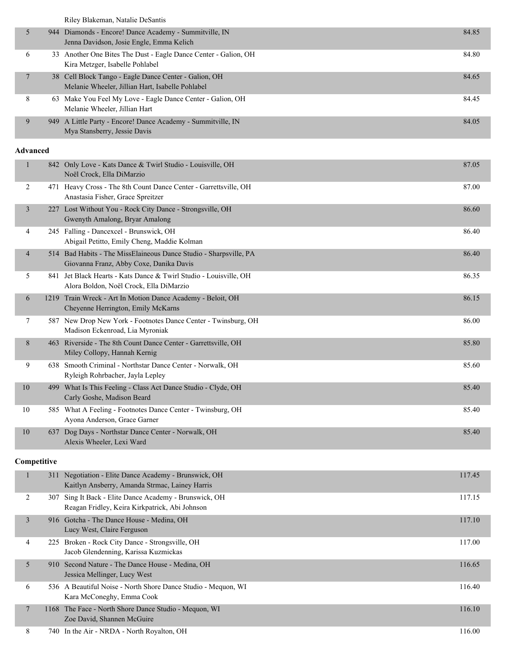Riley Blakeman, Natalie DeSantis

|   | 944 Diamonds - Encore! Dance Academy - Summitville, IN<br>Jenna Davidson, Josie Engle, Emma Kelich        | 84.85 |
|---|-----------------------------------------------------------------------------------------------------------|-------|
| 6 | 33 Another One Bites The Dust - Eagle Dance Center - Galion, OH<br>Kira Metzger, Isabelle Pohlabel        | 84.80 |
|   | 38 Cell Block Tango - Eagle Dance Center - Galion, OH<br>Melanie Wheeler, Jillian Hart, Isabelle Pohlabel | 84.65 |
| 8 | 63 Make You Feel My Love - Eagle Dance Center - Galion, OH<br>Melanie Wheeler, Jillian Hart               | 84.45 |
| 9 | 949 A Little Party - Encore! Dance Academy - Summitville, IN<br>Mya Stansberry, Jessie Davis              | 84.05 |

#### **Advanced**

| $\mathbf{1}$             | 842 Only Love - Kats Dance & Twirl Studio - Louisville, OH<br>Noël Crock, Ella DiMarzio                      | 87.05  |
|--------------------------|--------------------------------------------------------------------------------------------------------------|--------|
| 2                        | 471 Heavy Cross - The 8th Count Dance Center - Garrettsville, OH<br>Anastasia Fisher, Grace Spreitzer        | 87.00  |
| $\overline{3}$           | 227 Lost Without You - Rock City Dance - Strongsville, OH<br>Gwenyth Amalong, Bryar Amalong                  | 86.60  |
| 4                        | 245 Falling - Dancexcel - Brunswick, OH<br>Abigail Petitto, Emily Cheng, Maddie Kolman                       | 86.40  |
| $\overline{\mathcal{A}}$ | 514 Bad Habits - The MissElaineous Dance Studio - Sharpsville, PA<br>Giovanna Franz, Abby Coxe, Danika Davis | 86.40  |
| 5                        | 841 Jet Black Hearts - Kats Dance & Twirl Studio - Louisville, OH<br>Alora Boldon, Noël Crock, Ella DiMarzio | 86.35  |
| 6                        | 1219 Train Wreck - Art In Motion Dance Academy - Beloit, OH<br>Cheyenne Herrington, Emily McKarns            | 86.15  |
| 7                        | 587 New Drop New York - Footnotes Dance Center - Twinsburg, OH<br>Madison Eckenroad, Lia Myroniak            | 86.00  |
| 8                        | 463 Riverside - The 8th Count Dance Center - Garrettsville, OH<br>Miley Collopy, Hannah Kernig               | 85.80  |
| 9                        | 638 Smooth Criminal - Northstar Dance Center - Norwalk, OH<br>Ryleigh Rohrbacher, Jayla Lepley               | 85.60  |
| 10                       | 499 What Is This Feeling - Class Act Dance Studio - Clyde, OH<br>Carly Goshe, Madison Beard                  | 85.40  |
| 10                       | 585 What A Feeling - Footnotes Dance Center - Twinsburg, OH<br>Ayona Anderson, Grace Garner                  | 85.40  |
| 10                       | 637 Dog Days - Northstar Dance Center - Norwalk, OH<br>Alexis Wheeler, Lexi Ward                             | 85.40  |
| Competitive              |                                                                                                              |        |
| $\mathbf{1}$             | 311 Negotiation - Elite Dance Academy - Brunswick, OH<br>Kaitlyn Ansberry, Amanda Strmac, Lainey Harris      | 117.45 |
| 2                        | 307 Sing It Back - Elite Dance Academy - Brunswick, OH<br>Reagan Fridley, Keira Kirkpatrick, Abi Johnson     | 117.15 |

|   | 916 Gotcha - The Dance House - Medina, OH<br>Lucy West, Claire Ferguson                    | 117.10 |
|---|--------------------------------------------------------------------------------------------|--------|
| 4 | 225 Broken - Rock City Dance - Strongsville, OH<br>Jacob Glendenning, Karissa Kuzmickas    | 117.00 |
|   | 910 Second Nature - The Dance House - Medina, OH<br>Jessica Mellinger, Lucy West           | 116.65 |
| 6 | 536 A Beautiful Noise - North Shore Dance Studio - Mequon, WI<br>Kara McConeghy, Emma Cook | 116.40 |
|   | 1168 The Face - North Shore Dance Studio - Mequon, WI<br>Zoe David, Shannen McGuire        | 116.10 |

8 740 In the Air - NRDA - North Royalton, OH 116.00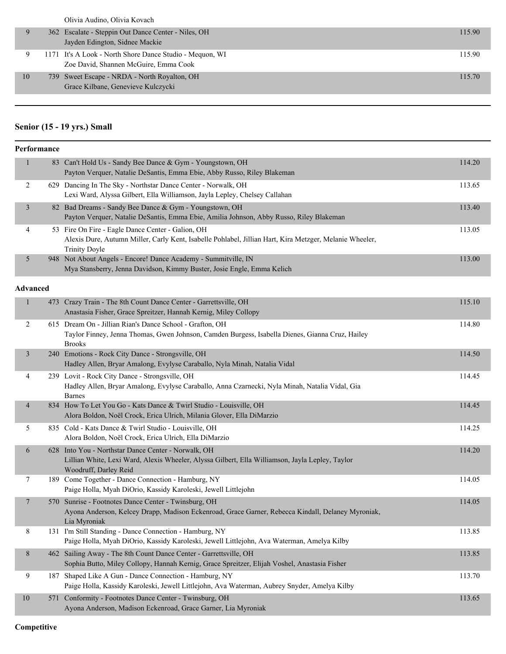|    | Olivia Audino, Olivia Kovach                                                                      |        |
|----|---------------------------------------------------------------------------------------------------|--------|
|    | 362 Escalate - Steppin Out Dance Center - Niles, OH<br>Jayden Edington, Sidnee Mackie             | 115.90 |
| 9  | 1171 It's A Look - North Shore Dance Studio - Mequon, WI<br>Zoe David, Shannen McGuire, Emma Cook | 115.90 |
| 10 | 739 Sweet Escape - NRDA - North Royalton, OH<br>Grace Kilbane, Genevieve Kulczycki                | 115.70 |

# **Senior (15 - 19 yrs.) Small**

|                 | Performance |                                                                                                                                                                                      |        |
|-----------------|-------------|--------------------------------------------------------------------------------------------------------------------------------------------------------------------------------------|--------|
| 1               |             | 83 Can't Hold Us - Sandy Bee Dance & Gym - Youngstown, OH<br>Payton Verquer, Natalie DeSantis, Emma Ebie, Abby Russo, Riley Blakeman                                                 | 114.20 |
| $\overline{c}$  |             | 629 Dancing In The Sky - Northstar Dance Center - Norwalk, OH<br>Lexi Ward, Alyssa Gilbert, Ella Williamson, Jayla Lepley, Chelsey Callahan                                          | 113.65 |
| 3               |             | 82 Bad Dreams - Sandy Bee Dance & Gym - Youngstown, OH<br>Payton Verquer, Natalie DeSantis, Emma Ebie, Amilia Johnson, Abby Russo, Riley Blakeman                                    | 113.40 |
| 4               |             | 53 Fire On Fire - Eagle Dance Center - Galion, OH<br>Alexis Dure, Autumn Miller, Carly Kent, Isabelle Pohlabel, Jillian Hart, Kira Metzger, Melanie Wheeler,<br><b>Trinity Doyle</b> | 113.05 |
| 5               |             | 948 Not About Angels - Encore! Dance Academy - Summitville, IN<br>Mya Stansberry, Jenna Davidson, Kimmy Buster, Josie Engle, Emma Kelich                                             | 113.00 |
| <b>Advanced</b> |             |                                                                                                                                                                                      |        |
| $\mathbf{1}$    |             | 473 Crazy Train - The 8th Count Dance Center - Garrettsville, OH<br>Anastasia Fisher, Grace Spreitzer, Hannah Kernig, Miley Collopy                                                  | 115.10 |
| $\overline{2}$  |             | 615 Dream On - Jillian Rian's Dance School - Grafton, OH<br>Taylor Finney, Jenna Thomas, Gwen Johnson, Camden Burgess, Isabella Dienes, Gianna Cruz, Hailey<br><b>Brooks</b>         | 114.80 |
| $\mathfrak{Z}$  |             | 240 Emotions - Rock City Dance - Strongsville, OH<br>Hadley Allen, Bryar Amalong, Evylyse Caraballo, Nyla Minah, Natalia Vidal                                                       | 114.50 |
| 4               |             | 239 Lovit - Rock City Dance - Strongsville, OH<br>Hadley Allen, Bryar Amalong, Evylyse Caraballo, Anna Czarnecki, Nyla Minah, Natalia Vidal, Gia<br><b>Barnes</b>                    | 114.45 |
| $\overline{4}$  |             | 834 How To Let You Go - Kats Dance & Twirl Studio - Louisville, OH<br>Alora Boldon, Noël Crock, Erica Ulrich, Milania Glover, Ella DiMarzio                                          | 114.45 |
| 5               |             | 835 Cold - Kats Dance & Twirl Studio - Louisville, OH<br>Alora Boldon, Noël Crock, Erica Ulrich, Ella DiMarzio                                                                       | 114.25 |
| 6               |             | 628 Into You - Northstar Dance Center - Norwalk, OH<br>Lillian White, Lexi Ward, Alexis Wheeler, Alyssa Gilbert, Ella Williamson, Jayla Lepley, Taylor<br>Woodruff, Darley Reid      | 114.20 |
| 7               |             | 189 Come Together - Dance Connection - Hamburg, NY<br>Paige Holla, Myah DiOrio, Kassidy Karoleski, Jewell Littlejohn                                                                 | 114.05 |
| $\overline{7}$  |             | 570 Sunrise - Footnotes Dance Center - Twinsburg, OH<br>Ayona Anderson, Kelcey Drapp, Madison Eckenroad, Grace Garner, Rebecca Kindall, Delaney Myroniak,<br>Lia Myroniak            | 114.05 |
| $8\,$           |             | 131 I'm Still Standing - Dance Connection - Hamburg, NY<br>Paige Holla, Myah DiOrio, Kassidy Karoleski, Jewell Littlejohn, Ava Waterman, Amelya Kilby                                | 113.85 |
| $8\,$           |             | 462 Sailing Away - The 8th Count Dance Center - Garrettsville, OH<br>Sophia Butto, Miley Collopy, Hannah Kernig, Grace Spreitzer, Elijah Voshel, Anastasia Fisher                    | 113.85 |
| 9               |             | 187 Shaped Like A Gun - Dance Connection - Hamburg, NY<br>Paige Holla, Kassidy Karoleski, Jewell Littlejohn, Ava Waterman, Aubrey Snyder, Amelya Kilby                               | 113.70 |
| $10\,$          |             | 571 Conformity - Footnotes Dance Center - Twinsburg, OH<br>Ayona Anderson, Madison Eckenroad, Grace Garner, Lia Myroniak                                                             | 113.65 |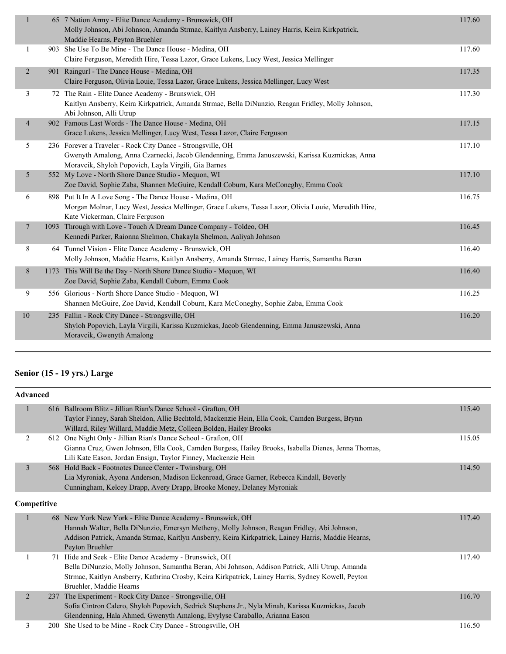| $\mathbf{1}$   | 65 7 Nation Army - Elite Dance Academy - Brunswick, OH<br>Molly Johnson, Abi Johnson, Amanda Strmac, Kaitlyn Ansberry, Lainey Harris, Keira Kirkpatrick,<br>Maddie Hearns, Peyton Bruehler                           | 117.60 |
|----------------|----------------------------------------------------------------------------------------------------------------------------------------------------------------------------------------------------------------------|--------|
| $\mathbf{1}$   | 903 She Use To Be Mine - The Dance House - Medina, OH<br>Claire Ferguson, Meredith Hire, Tessa Lazor, Grace Lukens, Lucy West, Jessica Mellinger                                                                     | 117.60 |
| $\overline{2}$ | 901 Raingurl - The Dance House - Medina, OH<br>Claire Ferguson, Olivia Louie, Tessa Lazor, Grace Lukens, Jessica Mellinger, Lucy West                                                                                | 117.35 |
| 3              | 72 The Rain - Elite Dance Academy - Brunswick, OH<br>Kaitlyn Ansberry, Keira Kirkpatrick, Amanda Strmac, Bella DiNunzio, Reagan Fridley, Molly Johnson,<br>Abi Johnson, Alli Utrup                                   | 117.30 |
| $\overline{4}$ | 902 Famous Last Words - The Dance House - Medina, OH<br>Grace Lukens, Jessica Mellinger, Lucy West, Tessa Lazor, Claire Ferguson                                                                                     | 117.15 |
| 5              | 236 Forever a Traveler - Rock City Dance - Strongsville, OH<br>Gwenyth Amalong, Anna Czarnecki, Jacob Glendenning, Emma Januszewski, Karissa Kuzmickas, Anna<br>Moravcik, Shyloh Popovich, Layla Virgili, Gia Barnes | 117.10 |
| 5              | 552 My Love - North Shore Dance Studio - Mequon, WI<br>Zoe David, Sophie Zaba, Shannen McGuire, Kendall Coburn, Kara McConeghy, Emma Cook                                                                            | 117.10 |
| 6              | 898 Put It In A Love Song - The Dance House - Medina, OH<br>Morgan Molnar, Lucy West, Jessica Mellinger, Grace Lukens, Tessa Lazor, Olivia Louie, Meredith Hire,<br>Kate Vickerman, Claire Ferguson                  | 116.75 |
| 7              | 1093 Through with Love - Touch A Dream Dance Company - Toldeo, OH<br>Kennedi Parker, Raionna Shelmon, Chakayla Shelmon, Aaliyah Johnson                                                                              | 116.45 |
| 8              | 64 Tunnel Vision - Elite Dance Academy - Brunswick, OH<br>Molly Johnson, Maddie Hearns, Kaitlyn Ansberry, Amanda Strmac, Lainey Harris, Samantha Beran                                                               | 116.40 |
| 8              | 1173 This Will Be the Day - North Shore Dance Studio - Mequon, WI<br>Zoe David, Sophie Zaba, Kendall Coburn, Emma Cook                                                                                               | 116.40 |
| 9              | 556 Glorious - North Shore Dance Studio - Mequon, WI<br>Shannen McGuire, Zoe David, Kendall Coburn, Kara McConeghy, Sophie Zaba, Emma Cook                                                                           | 116.25 |
| $10\,$         | 235 Fallin - Rock City Dance - Strongsville, OH<br>Shyloh Popovich, Layla Virgili, Karissa Kuzmickas, Jacob Glendenning, Emma Januszewski, Anna<br>Moravcik, Gwenyth Amalong                                         | 116.20 |
|                |                                                                                                                                                                                                                      |        |

# **Senior (15 - 19 yrs.) Large**

| <b>Advanced</b> |            |                                                                                                     |        |
|-----------------|------------|-----------------------------------------------------------------------------------------------------|--------|
| $\mathbf{1}$    |            | 616 Ballroom Blitz - Jillian Rian's Dance School - Grafton, OH                                      | 115.40 |
|                 |            | Taylor Finney, Sarah Sheldon, Allie Bechtold, Mackenzie Hein, Ella Cook, Camden Burgess, Brynn      |        |
|                 |            | Willard, Riley Willard, Maddie Metz, Colleen Bolden, Hailey Brooks                                  |        |
| 2               |            | 612 One Night Only - Jillian Rian's Dance School - Grafton, OH                                      | 115.05 |
|                 |            | Gianna Cruz, Gwen Johnson, Ella Cook, Camden Burgess, Hailey Brooks, Isabella Dienes, Jenna Thomas, |        |
|                 |            | Lili Kate Eason, Jordan Ensign, Taylor Finney, Mackenzie Hein                                       |        |
| $\overline{3}$  |            | 568 Hold Back - Footnotes Dance Center - Twinsburg, OH                                              | 114.50 |
|                 |            | Lia Myroniak, Ayona Anderson, Madison Eckenroad, Grace Garner, Rebecca Kindall, Beverly             |        |
|                 |            | Cunningham, Kelcey Drapp, Avery Drapp, Brooke Money, Delaney Myroniak                               |        |
| Competitive     |            |                                                                                                     |        |
|                 |            | 68 New York New York - Elite Dance Academy - Brunswick, OH                                          | 117.40 |
|                 |            | Hannah Walter, Bella DiNunzio, Emersyn Metheny, Molly Johnson, Reagan Fridley, Abi Johnson,         |        |
|                 |            | Addison Patrick, Amanda Strmac, Kaitlyn Ansberry, Keira Kirkpatrick, Lainey Harris, Maddie Hearns,  |        |
|                 |            | Peyton Bruehler                                                                                     |        |
|                 |            | 71 Hide and Seek - Elite Dance Academy - Brunswick, OH                                              | 117.40 |
|                 |            | Bella DiNunzio, Molly Johnson, Samantha Beran, Abi Johnson, Addison Patrick, Alli Utrup, Amanda     |        |
|                 |            | Strmac, Kaitlyn Ansberry, Kathrina Crosby, Keira Kirkpatrick, Lainey Harris, Sydney Kowell, Peyton  |        |
|                 |            | Bruehler, Maddie Hearns                                                                             |        |
| 2               | 237        | The Experiment - Rock City Dance - Strongsville, OH                                                 | 116.70 |
|                 |            | Sofia Cintron Calero, Shyloh Popovich, Sedrick Stephens Jr., Nyla Minah, Karissa Kuzmickas, Jacob   |        |
|                 |            | Glendenning, Hala Ahmed, Gwenyth Amalong, Evylyse Caraballo, Arianna Eason                          |        |
| 3               | <b>200</b> | She Used to be Mine - Rock City Dance - Strongsville, OH                                            | 116.50 |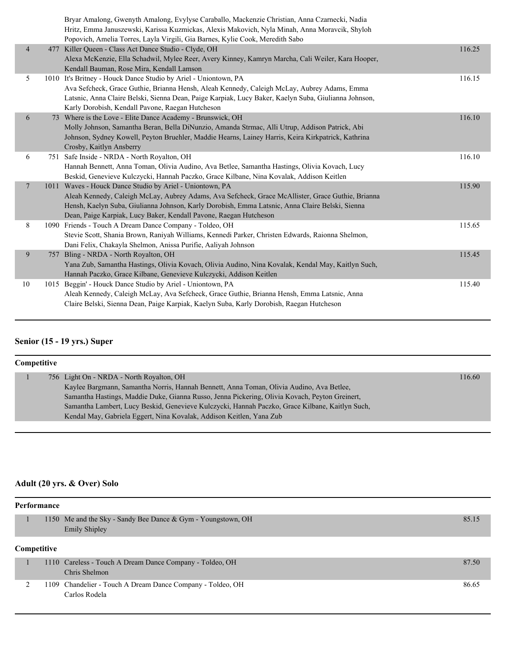|                | Bryar Amalong, Gwenyth Amalong, Evylyse Caraballo, Mackenzie Christian, Anna Czarnecki, Nadia<br>Hritz, Emma Januszewski, Karissa Kuzmickas, Alexis Makovich, Nyla Minah, Anna Moravcik, Shyloh<br>Popovich, Amelia Torres, Layla Virgili, Gia Barnes, Kylie Cook, Meredith Sabo |        |
|----------------|----------------------------------------------------------------------------------------------------------------------------------------------------------------------------------------------------------------------------------------------------------------------------------|--------|
| $\overline{4}$ | 477 Killer Queen - Class Act Dance Studio - Clyde, OH                                                                                                                                                                                                                            | 116.25 |
|                | Alexa McKenzie, Ella Schadwil, Mylee Reer, Avery Kinney, Kamryn Marcha, Cali Weiler, Kara Hooper,                                                                                                                                                                                |        |
|                | Kendall Bauman, Rose Mira, Kendall Lamson                                                                                                                                                                                                                                        |        |
| 5              | 1010 It's Britney - Houck Dance Studio by Ariel - Uniontown, PA                                                                                                                                                                                                                  | 116.15 |
|                | Ava Sefcheck, Grace Guthie, Brianna Hensh, Aleah Kennedy, Caleigh McLay, Aubrey Adams, Emma                                                                                                                                                                                      |        |
|                | Latsnic, Anna Claire Belski, Sienna Dean, Paige Karpiak, Lucy Baker, Kaelyn Suba, Giulianna Johnson,                                                                                                                                                                             |        |
|                | Karly Dorobish, Kendall Pavone, Raegan Hutcheson                                                                                                                                                                                                                                 |        |
| 6              | 73 Where is the Love - Elite Dance Academy - Brunswick, OH                                                                                                                                                                                                                       | 116.10 |
|                | Molly Johnson, Samantha Beran, Bella DiNunzio, Amanda Strmac, Alli Utrup, Addison Patrick, Abi                                                                                                                                                                                   |        |
|                | Johnson, Sydney Kowell, Peyton Bruehler, Maddie Hearns, Lainey Harris, Keira Kirkpatrick, Kathrina                                                                                                                                                                               |        |
|                | Crosby, Kaitlyn Ansberry                                                                                                                                                                                                                                                         |        |
| 6              | 751 Safe Inside - NRDA - North Royalton, OH                                                                                                                                                                                                                                      | 116.10 |
|                | Hannah Bennett, Anna Toman, Olivia Audino, Ava Betlee, Samantha Hastings, Olivia Kovach, Lucy                                                                                                                                                                                    |        |
|                | Beskid, Genevieve Kulczycki, Hannah Paczko, Grace Kilbane, Nina Kovalak, Addison Keitlen                                                                                                                                                                                         |        |
| 7              | 1011 Waves - Houck Dance Studio by Ariel - Uniontown, PA                                                                                                                                                                                                                         | 115.90 |
|                | Aleah Kennedy, Caleigh McLay, Aubrey Adams, Ava Sefcheck, Grace McAllister, Grace Guthie, Brianna                                                                                                                                                                                |        |
|                | Hensh, Kaelyn Suba, Giulianna Johnson, Karly Dorobish, Emma Latsnic, Anna Claire Belski, Sienna                                                                                                                                                                                  |        |
| 8              | Dean, Paige Karpiak, Lucy Baker, Kendall Pavone, Raegan Hutcheson                                                                                                                                                                                                                |        |
|                | 1090 Friends - Touch A Dream Dance Company - Toldeo, OH<br>Stevie Scott, Shania Brown, Raniyah Williams, Kennedi Parker, Christen Edwards, Raionna Shelmon,                                                                                                                      | 115.65 |
|                |                                                                                                                                                                                                                                                                                  |        |
| 9              | Dani Felix, Chakayla Shelmon, Anissa Purifie, Aaliyah Johnson<br>757 Bling - NRDA - North Royalton, OH                                                                                                                                                                           | 115.45 |
|                | Yana Zub, Samantha Hastings, Olivia Kovach, Olivia Audino, Nina Kovalak, Kendal May, Kaitlyn Such,                                                                                                                                                                               |        |
|                | Hannah Paczko, Grace Kilbane, Genevieve Kulczycki, Addison Keitlen                                                                                                                                                                                                               |        |
| 10             | 1015 Beggin' - Houck Dance Studio by Ariel - Uniontown, PA                                                                                                                                                                                                                       | 115.40 |
|                | Aleah Kennedy, Caleigh McLay, Ava Sefcheck, Grace Guthie, Brianna Hensh, Emma Latsnic, Anna                                                                                                                                                                                      |        |
|                | Claire Belski, Sienna Dean, Paige Karpiak, Kaelyn Suba, Karly Dorobish, Raegan Hutcheson                                                                                                                                                                                         |        |
|                |                                                                                                                                                                                                                                                                                  |        |

# **Senior (15 - 19 yrs.) Super**

| Competitive |  |                                                                                                 |        |  |  |
|-------------|--|-------------------------------------------------------------------------------------------------|--------|--|--|
|             |  | 756 Light On - NRDA - North Royalton, OH                                                        | 116.60 |  |  |
|             |  | Kaylee Bargmann, Samantha Norris, Hannah Bennett, Anna Toman, Olivia Audino, Ava Betlee,        |        |  |  |
|             |  | Samantha Hastings, Maddie Duke, Gianna Russo, Jenna Pickering, Olivia Kovach, Peyton Greinert,  |        |  |  |
|             |  | Samantha Lambert, Lucy Beskid, Genevieve Kulczycki, Hannah Paczko, Grace Kilbane, Kaitlyn Such, |        |  |  |
|             |  | Kendal May, Gabriela Eggert, Nina Kovalak, Addison Keitlen, Yana Zub                            |        |  |  |

# **Adult (20 yrs. & Over) Solo**

| Performance |  |                                                                                      |       |  |  |  |
|-------------|--|--------------------------------------------------------------------------------------|-------|--|--|--|
|             |  | 1150 Me and the Sky - Sandy Bee Dance & Gym - Youngstown, OH<br><b>Emily Shipley</b> | 85.15 |  |  |  |
| Competitive |  |                                                                                      |       |  |  |  |
|             |  | 1110 Careless - Touch A Dream Dance Company - Toldeo, OH<br>Chris Shelmon            | 87.50 |  |  |  |
|             |  | 1109 Chandelier - Touch A Dream Dance Company - Toldeo, OH<br>Carlos Rodela          | 86.65 |  |  |  |